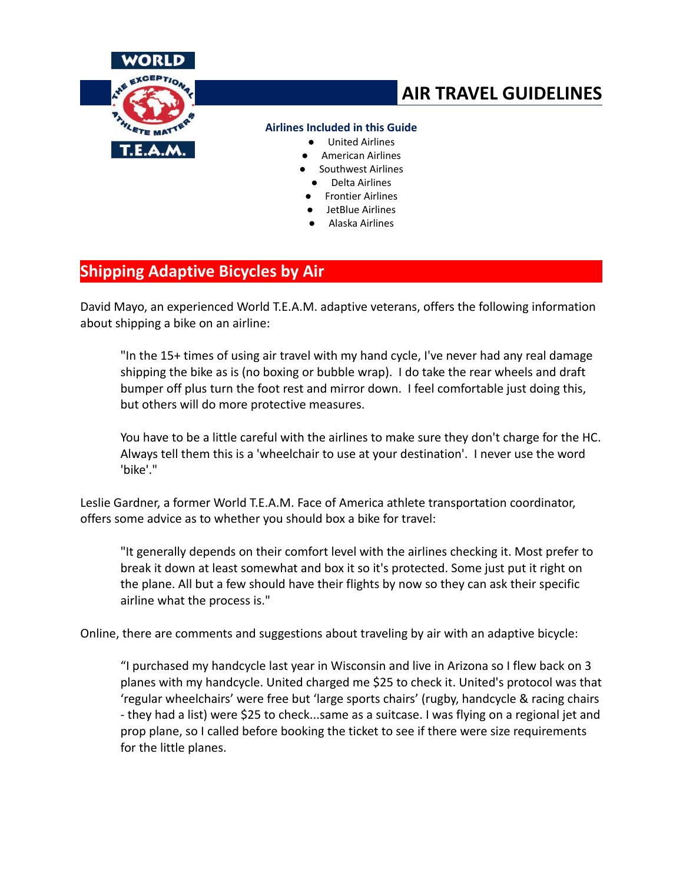

# **AIR TRAVEL GUIDELINES**

#### **Airlines Included in this Guide**

- **United Airlines**
- American Airlines
- Southwest Airlines
	- Delta Airlines
- **Frontier Airlines**
- JetBlue Airlines
- Alaska Airlines

# **Shipping Adaptive Bicycles by Air**

David Mayo, an experienced World T.E.A.M. adaptive veterans, offers the following information about shipping a bike on an airline:

"In the 15+ times of using air travel with my hand cycle, I've never had any real damage shipping the bike as is (no boxing or bubble wrap). I do take the rear wheels and draft bumper off plus turn the foot rest and mirror down. I feel comfortable just doing this, but others will do more protective measures.

You have to be a little careful with the airlines to make sure they don't charge for the HC. Always tell them this is a 'wheelchair to use at your destination'. I never use the word 'bike'."

Leslie Gardner, a former World T.E.A.M. Face of America athlete transportation coordinator, offers some advice as to whether you should box a bike for travel:

"It generally depends on their comfort level with the airlines checking it. Most prefer to break it down at least somewhat and box it so it's protected. Some just put it right on the plane. All but a few should have their flights by now so they can ask their specific airline what the process is."

Online, there are comments and suggestions about traveling by air with an adaptive bicycle:

"I purchased my handcycle last year in Wisconsin and live in Arizona so I flew back on 3 planes with my handcycle. United charged me \$25 to check it. United's protocol was that 'regular wheelchairs' were free but 'large sports chairs' (rugby, handcycle & racing chairs - they had a list) were \$25 to check...same as a suitcase. I was flying on a regional jet and prop plane, so I called before booking the ticket to see if there were size requirements for the little planes.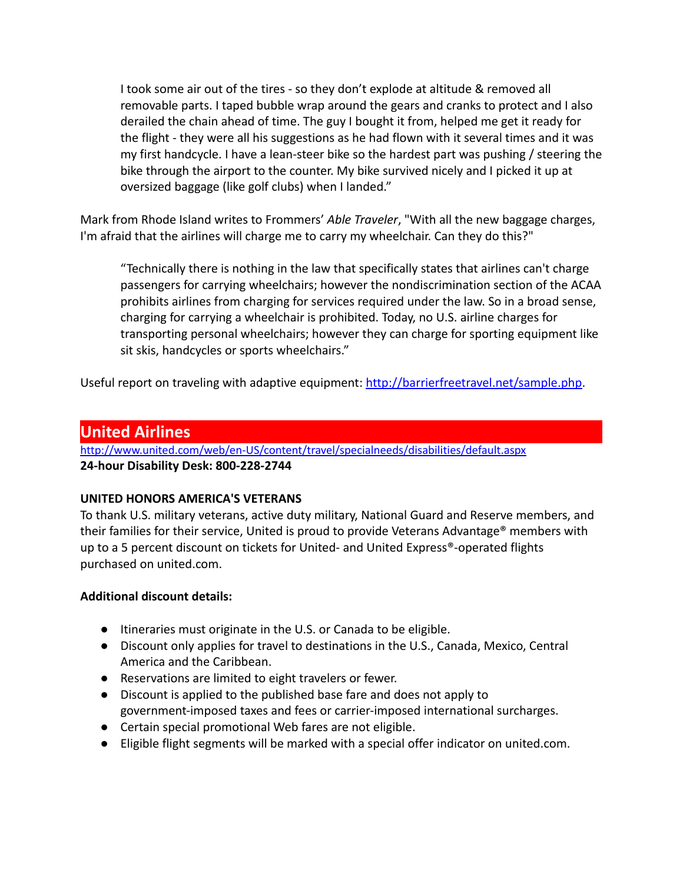I took some air out of the tires - so they don't explode at altitude & removed all removable parts. I taped bubble wrap around the gears and cranks to protect and I also derailed the chain ahead of time. The guy I bought it from, helped me get it ready for the flight - they were all his suggestions as he had flown with it several times and it was my first handcycle. I have a lean-steer bike so the hardest part was pushing / steering the bike through the airport to the counter. My bike survived nicely and I picked it up at oversized baggage (like golf clubs) when I landed."

Mark from Rhode Island writes to Frommers' *Able Traveler*, "With all the new baggage charges, I'm afraid that the airlines will charge me to carry my wheelchair. Can they do this?"

"Technically there is nothing in the law that specifically states that airlines can't charge passengers for carrying wheelchairs; however the nondiscrimination section of the ACAA prohibits airlines from charging for services required under the law. So in a broad sense, charging for carrying a wheelchair is prohibited. Today, no U.S. airline charges for transporting personal wheelchairs; however they can charge for sporting equipment like sit skis, handcycles or sports wheelchairs."

Useful report on traveling with adaptive equipment: [http://barrierfreetravel.net/sample.php.](http://barrierfreetravel.net/sample.php)

# **United Airlines**

<http://www.united.com/web/en-US/content/travel/specialneeds/disabilities/default.aspx> **24-hour Disability Desk: 800-228-2744**

# **UNITED HONORS AMERICA'S VETERANS**

To thank U.S. military veterans, active duty military, National Guard and Reserve members, and their families for their service, United is proud to provide Veterans Advantage® members with up to a 5 percent discount on tickets for United- and United Express®-operated flights purchased on united.com.

#### **Additional discount details:**

- Itineraries must originate in the U.S. or Canada to be eligible.
- Discount only applies for travel to destinations in the U.S., Canada, Mexico, Central America and the Caribbean.
- Reservations are limited to eight travelers or fewer.
- Discount is applied to the published base fare and does not apply to government-imposed taxes and fees or carrier-imposed international surcharges.
- Certain special promotional Web fares are not eligible.
- Eligible flight segments will be marked with a special offer indicator on united.com.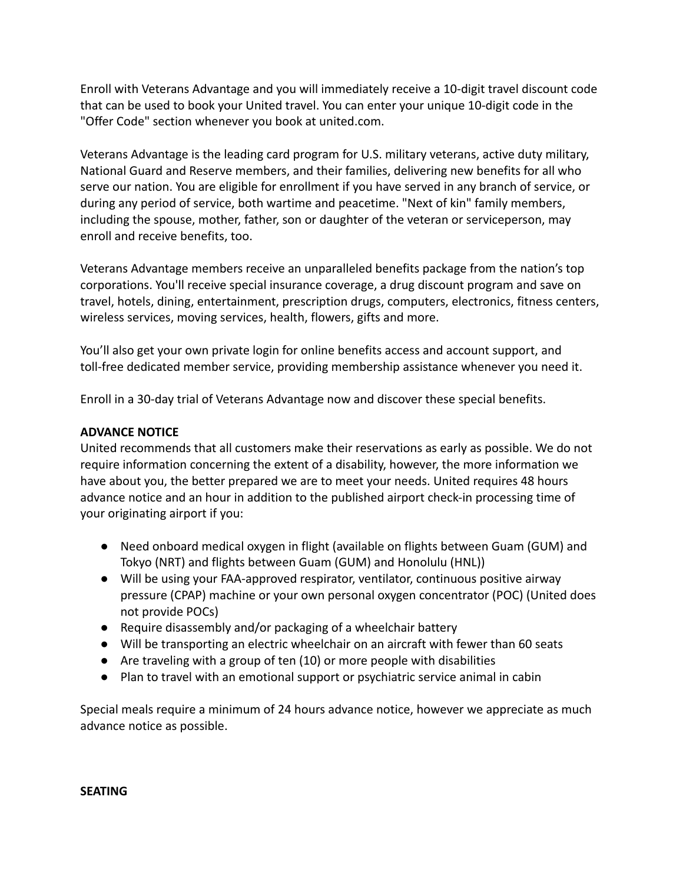Enroll with Veterans Advantage and you will immediately receive a 10-digit travel discount code that can be used to book your United travel. You can enter your unique 10-digit code in the "Offer Code" section whenever you book at united.com.

Veterans Advantage is the leading card program for U.S. military veterans, active duty military, National Guard and Reserve members, and their families, delivering new benefits for all who serve our nation. You are eligible for enrollment if you have served in any branch of service, or during any period of service, both wartime and peacetime. "Next of kin" family members, including the spouse, mother, father, son or daughter of the veteran or serviceperson, may enroll and receive benefits, too.

Veterans Advantage members receive an unparalleled benefits package from the nation's top corporations. You'll receive special insurance coverage, a drug discount program and save on travel, hotels, dining, entertainment, prescription drugs, computers, electronics, fitness centers, wireless services, moving services, health, flowers, gifts and more.

You'll also get your own private login for online benefits access and account support, and toll-free dedicated member service, providing membership assistance whenever you need it.

Enroll in a 30-day trial of Veterans Advantage now and discover these special benefits.

#### **ADVANCE NOTICE**

United recommends that all customers make their reservations as early as possible. We do not require information concerning the extent of a disability, however, the more information we have about you, the better prepared we are to meet your needs. United requires 48 hours advance notice and an hour in addition to the published airport check-in processing time of your originating airport if you:

- Need onboard medical oxygen in flight (available on flights between Guam (GUM) and Tokyo (NRT) and flights between Guam (GUM) and Honolulu (HNL))
- Will be using your FAA-approved respirator, ventilator, continuous positive airway pressure (CPAP) machine or your own personal oxygen concentrator (POC) (United does not provide POCs)
- Require disassembly and/or packaging of a wheelchair battery
- Will be transporting an electric wheelchair on an aircraft with fewer than 60 seats
- Are traveling with a group of ten (10) or more people with disabilities
- Plan to travel with an emotional support or psychiatric service animal in cabin

Special meals require a minimum of 24 hours advance notice, however we appreciate as much advance notice as possible.

#### **SEATING**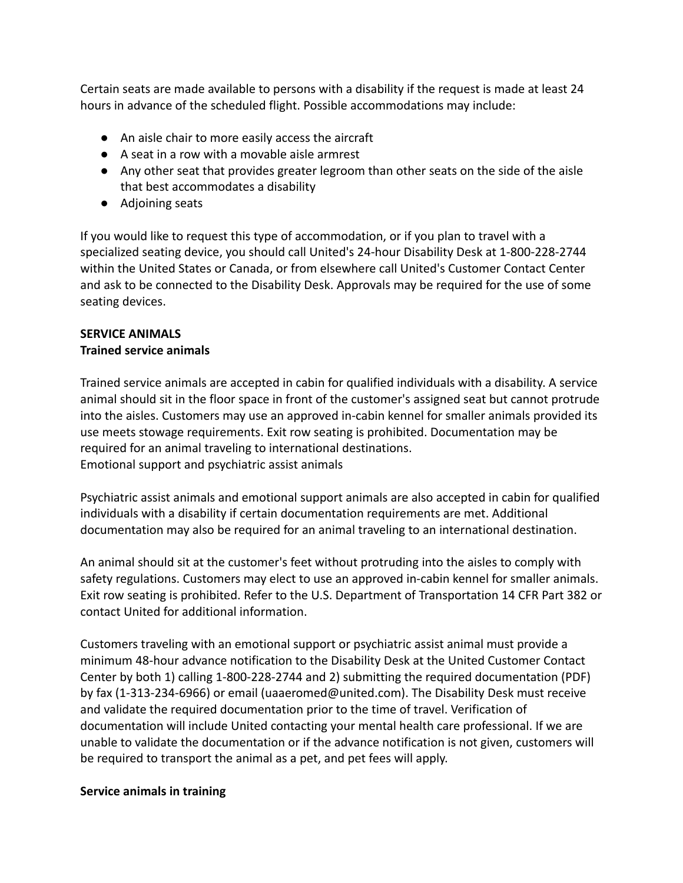Certain seats are made available to persons with a disability if the request is made at least 24 hours in advance of the scheduled flight. Possible accommodations may include:

- An aisle chair to more easily access the aircraft
- A seat in a row with a movable aisle armrest
- Any other seat that provides greater legroom than other seats on the side of the aisle that best accommodates a disability
- Adjoining seats

If you would like to request this type of accommodation, or if you plan to travel with a specialized seating device, you should call United's 24-hour Disability Desk at 1-800-228-2744 within the United States or Canada, or from elsewhere call United's Customer Contact Center and ask to be connected to the Disability Desk. Approvals may be required for the use of some seating devices.

#### **SERVICE ANIMALS Trained service animals**

Trained service animals are accepted in cabin for qualified individuals with a disability. A service animal should sit in the floor space in front of the customer's assigned seat but cannot protrude into the aisles. Customers may use an approved in-cabin kennel for smaller animals provided its use meets stowage requirements. Exit row seating is prohibited. Documentation may be required for an animal traveling to international destinations. Emotional support and psychiatric assist animals

Psychiatric assist animals and emotional support animals are also accepted in cabin for qualified individuals with a disability if certain documentation requirements are met. Additional documentation may also be required for an animal traveling to an international destination.

An animal should sit at the customer's feet without protruding into the aisles to comply with safety regulations. Customers may elect to use an approved in-cabin kennel for smaller animals. Exit row seating is prohibited. Refer to the U.S. Department of Transportation 14 CFR Part 382 or contact United for additional information.

Customers traveling with an emotional support or psychiatric assist animal must provide a minimum 48-hour advance notification to the Disability Desk at the United Customer Contact Center by both 1) calling 1-800-228-2744 and 2) submitting the required documentation (PDF) by fax (1-313-234-6966) or email (uaaeromed@united.com). The Disability Desk must receive and validate the required documentation prior to the time of travel. Verification of documentation will include United contacting your mental health care professional. If we are unable to validate the documentation or if the advance notification is not given, customers will be required to transport the animal as a pet, and pet fees will apply.

#### **Service animals in training**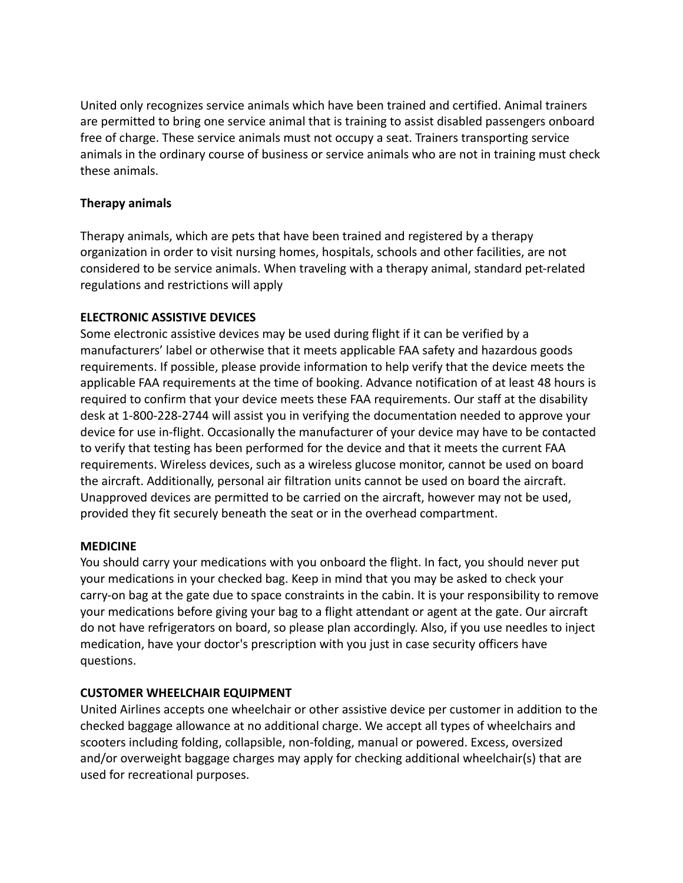United only recognizes service animals which have been trained and certified. Animal trainers are permitted to bring one service animal that is training to assist disabled passengers onboard free of charge. These service animals must not occupy a seat. Trainers transporting service animals in the ordinary course of business or service animals who are not in training must check these animals.

### **Therapy animals**

Therapy animals, which are pets that have been trained and registered by a therapy organization in order to visit nursing homes, hospitals, schools and other facilities, are not considered to be service animals. When traveling with a therapy animal, standard pet-related regulations and restrictions will apply

#### **ELECTRONIC ASSISTIVE DEVICES**

Some electronic assistive devices may be used during flight if it can be verified by a manufacturers' label or otherwise that it meets applicable FAA safety and hazardous goods requirements. If possible, please provide information to help verify that the device meets the applicable FAA requirements at the time of booking. Advance notification of at least 48 hours is required to confirm that your device meets these FAA requirements. Our staff at the disability desk at 1-800-228-2744 will assist you in verifying the documentation needed to approve your device for use in-flight. Occasionally the manufacturer of your device may have to be contacted to verify that testing has been performed for the device and that it meets the current FAA requirements. Wireless devices, such as a wireless glucose monitor, cannot be used on board the aircraft. Additionally, personal air filtration units cannot be used on board the aircraft. Unapproved devices are permitted to be carried on the aircraft, however may not be used, provided they fit securely beneath the seat or in the overhead compartment.

#### **MEDICINE**

You should carry your medications with you onboard the flight. In fact, you should never put your medications in your checked bag. Keep in mind that you may be asked to check your carry-on bag at the gate due to space constraints in the cabin. It is your responsibility to remove your medications before giving your bag to a flight attendant or agent at the gate. Our aircraft do not have refrigerators on board, so please plan accordingly. Also, if you use needles to inject medication, have your doctor's prescription with you just in case security officers have questions.

# **CUSTOMER WHEELCHAIR EQUIPMENT**

United Airlines accepts one wheelchair or other assistive device per customer in addition to the checked baggage allowance at no additional charge. We accept all types of wheelchairs and scooters including folding, collapsible, non-folding, manual or powered. Excess, oversized and/or overweight baggage charges may apply for checking additional wheelchair(s) that are used for recreational purposes.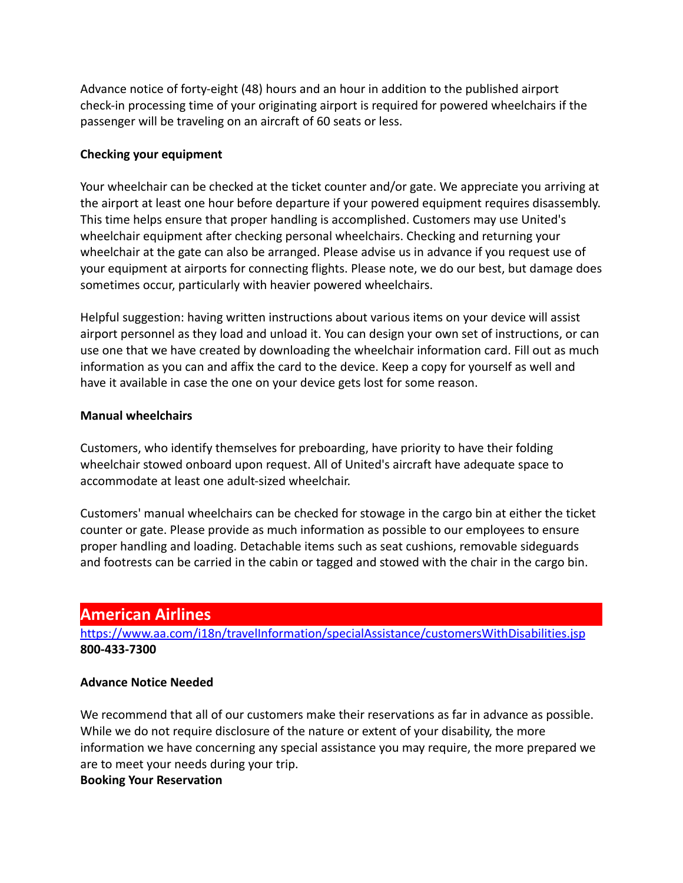Advance notice of forty-eight (48) hours and an hour in addition to the published airport check-in processing time of your originating airport is required for powered wheelchairs if the passenger will be traveling on an aircraft of 60 seats or less.

#### **Checking your equipment**

Your wheelchair can be checked at the ticket counter and/or gate. We appreciate you arriving at the airport at least one hour before departure if your powered equipment requires disassembly. This time helps ensure that proper handling is accomplished. Customers may use United's wheelchair equipment after checking personal wheelchairs. Checking and returning your wheelchair at the gate can also be arranged. Please advise us in advance if you request use of your equipment at airports for connecting flights. Please note, we do our best, but damage does sometimes occur, particularly with heavier powered wheelchairs.

Helpful suggestion: having written instructions about various items on your device will assist airport personnel as they load and unload it. You can design your own set of instructions, or can use one that we have created by downloading the wheelchair information card. Fill out as much information as you can and affix the card to the device. Keep a copy for yourself as well and have it available in case the one on your device gets lost for some reason.

#### **Manual wheelchairs**

Customers, who identify themselves for preboarding, have priority to have their folding wheelchair stowed onboard upon request. All of United's aircraft have adequate space to accommodate at least one adult-sized wheelchair.

Customers' manual wheelchairs can be checked for stowage in the cargo bin at either the ticket counter or gate. Please provide as much information as possible to our employees to ensure proper handling and loading. Detachable items such as seat cushions, removable sideguards and footrests can be carried in the cabin or tagged and stowed with the chair in the cargo bin.

# **American Airlines**

<https://www.aa.com/i18n/travelInformation/specialAssistance/customersWithDisabilities.jsp> **800-433-7300**

# **Advance Notice Needed**

We recommend that all of our customers make their reservations as far in advance as possible. While we do not require disclosure of the nature or extent of your disability, the more information we have concerning any special assistance you may require, the more prepared we are to meet your needs during your trip.

# **Booking Your Reservation**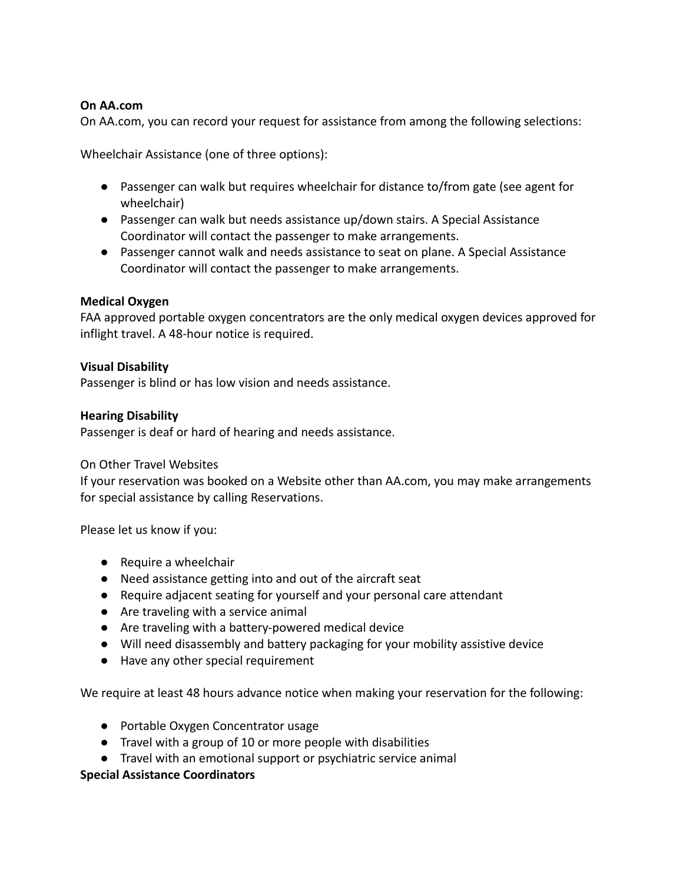#### **On AA.com**

On AA.com, you can record your request for assistance from among the following selections:

Wheelchair Assistance (one of three options):

- Passenger can walk but requires wheelchair for distance to/from gate (see agent for wheelchair)
- Passenger can walk but needs assistance up/down stairs. A Special Assistance Coordinator will contact the passenger to make arrangements.
- Passenger cannot walk and needs assistance to seat on plane. A Special Assistance Coordinator will contact the passenger to make arrangements.

#### **Medical Oxygen**

FAA approved portable oxygen concentrators are the only medical oxygen devices approved for inflight travel. A 48-hour notice is required.

#### **Visual Disability**

Passenger is blind or has low vision and needs assistance.

#### **Hearing Disability**

Passenger is deaf or hard of hearing and needs assistance.

#### On Other Travel Websites

If your reservation was booked on a Website other than AA.com, you may make arrangements for special assistance by calling Reservations.

Please let us know if you:

- Require a wheelchair
- Need assistance getting into and out of the aircraft seat
- Require adjacent seating for yourself and your personal care attendant
- Are traveling with a service animal
- Are traveling with a battery-powered medical device
- Will need disassembly and battery packaging for your mobility assistive device
- Have any other special requirement

We require at least 48 hours advance notice when making your reservation for the following:

- Portable Oxygen Concentrator usage
- Travel with a group of 10 or more people with disabilities
- Travel with an emotional support or psychiatric service animal

#### **Special Assistance Coordinators**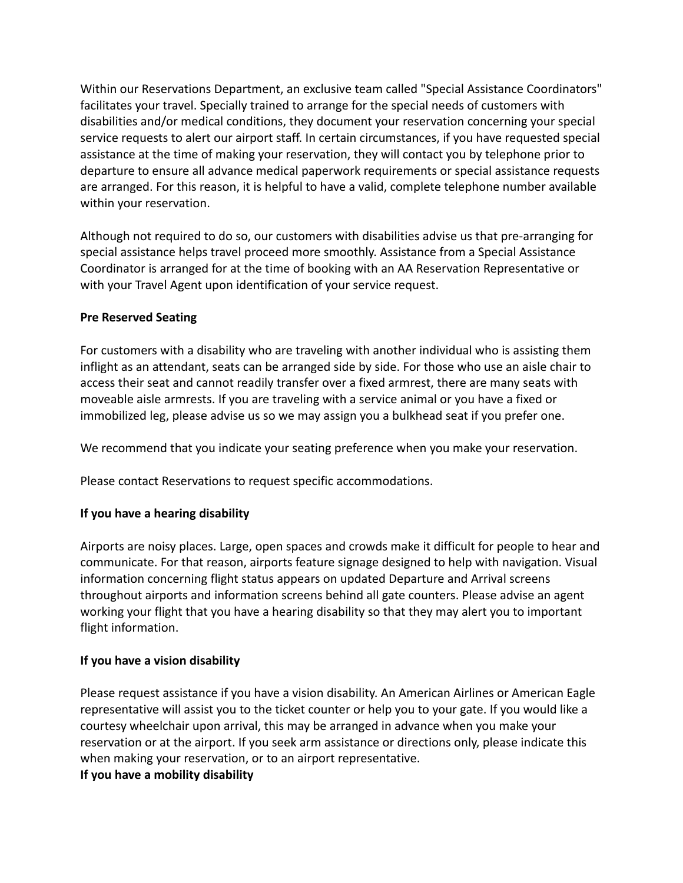Within our Reservations Department, an exclusive team called "Special Assistance Coordinators" facilitates your travel. Specially trained to arrange for the special needs of customers with disabilities and/or medical conditions, they document your reservation concerning your special service requests to alert our airport staff. In certain circumstances, if you have requested special assistance at the time of making your reservation, they will contact you by telephone prior to departure to ensure all advance medical paperwork requirements or special assistance requests are arranged. For this reason, it is helpful to have a valid, complete telephone number available within your reservation.

Although not required to do so, our customers with disabilities advise us that pre-arranging for special assistance helps travel proceed more smoothly. Assistance from a Special Assistance Coordinator is arranged for at the time of booking with an AA Reservation Representative or with your Travel Agent upon identification of your service request.

#### **Pre Reserved Seating**

For customers with a disability who are traveling with another individual who is assisting them inflight as an attendant, seats can be arranged side by side. For those who use an aisle chair to access their seat and cannot readily transfer over a fixed armrest, there are many seats with moveable aisle armrests. If you are traveling with a service animal or you have a fixed or immobilized leg, please advise us so we may assign you a bulkhead seat if you prefer one.

We recommend that you indicate your seating preference when you make your reservation.

Please contact Reservations to request specific accommodations.

# **If you have a hearing disability**

Airports are noisy places. Large, open spaces and crowds make it difficult for people to hear and communicate. For that reason, airports feature signage designed to help with navigation. Visual information concerning flight status appears on updated Departure and Arrival screens throughout airports and information screens behind all gate counters. Please advise an agent working your flight that you have a hearing disability so that they may alert you to important flight information.

# **If you have a vision disability**

Please request assistance if you have a vision disability. An American Airlines or American Eagle representative will assist you to the ticket counter or help you to your gate. If you would like a courtesy wheelchair upon arrival, this may be arranged in advance when you make your reservation or at the airport. If you seek arm assistance or directions only, please indicate this when making your reservation, or to an airport representative.

#### **If you have a mobility disability**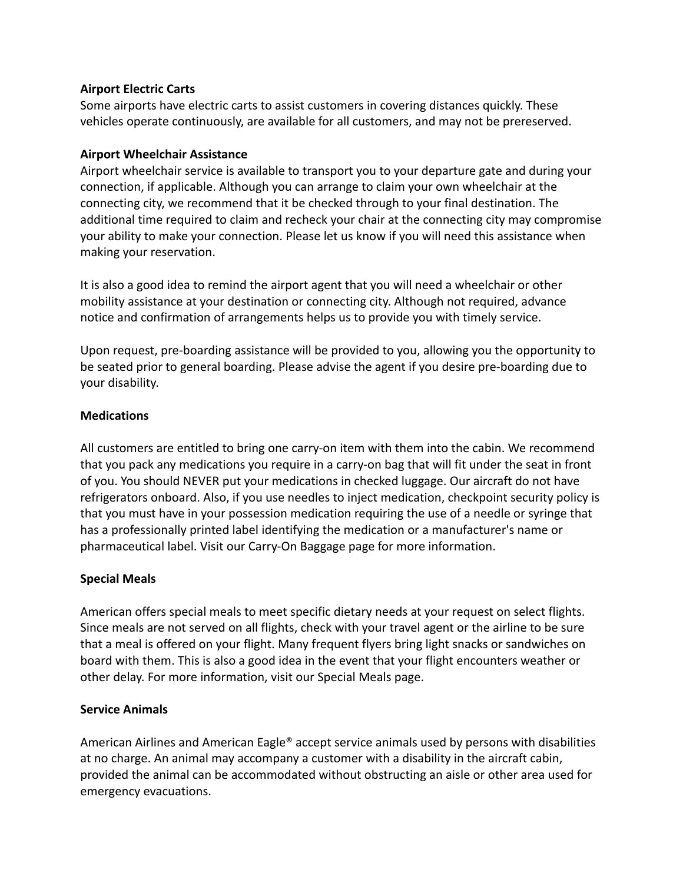#### **Airport Electric Carts**

Some airports have electric carts to assist customers in covering distances quickly. These vehicles operate continuously, are available for all customers, and may not be prereserved.

#### **Airport Wheelchair Assistance**

Airport wheelchair service is available to transport you to your departure gate and during your connection, if applicable. Although you can arrange to claim your own wheelchair at the connecting city, we recommend that it be checked through to your final destination. The additional time required to claim and recheck your chair at the connecting city may compromise your ability to make your connection. Please let us know if you will need this assistance when making your reservation.

It is also a good idea to remind the airport agent that you will need a wheelchair or other mobility assistance at your destination or connecting city. Although not required, advance notice and confirmation of arrangements helps us to provide you with timely service.

Upon request, pre-boarding assistance will be provided to you, allowing you the opportunity to be seated prior to general boarding. Please advise the agent if you desire pre-boarding due to your disability.

#### **Medications**

All customers are entitled to bring one carry-on item with them into the cabin. We recommend that you pack any medications you require in a carry-on bag that will fit under the seat in front of you. You should NEVER put your medications in checked luggage. Our aircraft do not have refrigerators onboard. Also, if you use needles to inject medication, checkpoint security policy is that you must have in your possession medication requiring the use of a needle or syringe that has a professionally printed label identifying the medication or a manufacturer's name or pharmaceutical label. Visit our Carry-On Baggage page for more information.

# **Special Meals**

American offers special meals to meet specific dietary needs at your request on select flights. Since meals are not served on all flights, check with your travel agent or the airline to be sure that a meal is offered on your flight. Many frequent flyers bring light snacks or sandwiches on board with them. This is also a good idea in the event that your flight encounters weather or other delay. For more information, visit our Special Meals page.

#### **Service Animals**

American Airlines and American Eagle® accept service animals used by persons with disabilities at no charge. An animal may accompany a customer with a disability in the aircraft cabin, provided the animal can be accommodated without obstructing an aisle or other area used for emergency evacuations.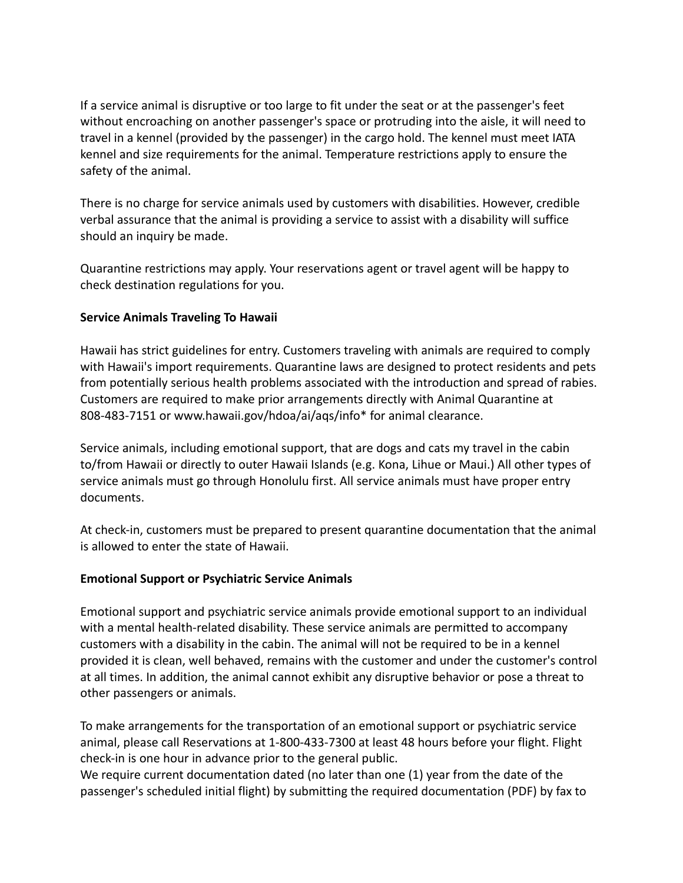If a service animal is disruptive or too large to fit under the seat or at the passenger's feet without encroaching on another passenger's space or protruding into the aisle, it will need to travel in a kennel (provided by the passenger) in the cargo hold. The kennel must meet IATA kennel and size requirements for the animal. Temperature restrictions apply to ensure the safety of the animal.

There is no charge for service animals used by customers with disabilities. However, credible verbal assurance that the animal is providing a service to assist with a disability will suffice should an inquiry be made.

Quarantine restrictions may apply. Your reservations agent or travel agent will be happy to check destination regulations for you.

#### **Service Animals Traveling To Hawaii**

Hawaii has strict guidelines for entry. Customers traveling with animals are required to comply with Hawaii's import requirements. Quarantine laws are designed to protect residents and pets from potentially serious health problems associated with the introduction and spread of rabies. Customers are required to make prior arrangements directly with Animal Quarantine at 808-483-7151 or www.hawaii.gov/hdoa/ai/aqs/info\* for animal clearance.

Service animals, including emotional support, that are dogs and cats my travel in the cabin to/from Hawaii or directly to outer Hawaii Islands (e.g. Kona, Lihue or Maui.) All other types of service animals must go through Honolulu first. All service animals must have proper entry documents.

At check-in, customers must be prepared to present quarantine documentation that the animal is allowed to enter the state of Hawaii.

#### **Emotional Support or Psychiatric Service Animals**

Emotional support and psychiatric service animals provide emotional support to an individual with a mental health-related disability. These service animals are permitted to accompany customers with a disability in the cabin. The animal will not be required to be in a kennel provided it is clean, well behaved, remains with the customer and under the customer's control at all times. In addition, the animal cannot exhibit any disruptive behavior or pose a threat to other passengers or animals.

To make arrangements for the transportation of an emotional support or psychiatric service animal, please call Reservations at 1-800-433-7300 at least 48 hours before your flight. Flight check-in is one hour in advance prior to the general public.

We require current documentation dated (no later than one (1) year from the date of the passenger's scheduled initial flight) by submitting the required documentation (PDF) by fax to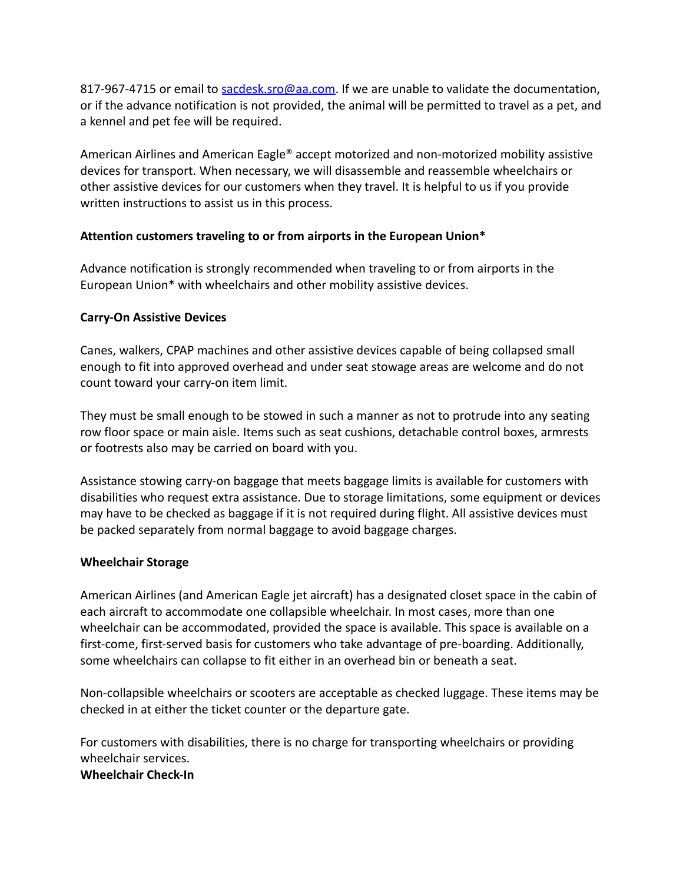817-967-4715 or email to [sacdesk.sro@aa.com.](mailto:sacdesk.sro@aa.com) If we are unable to validate the documentation, or if the advance notification is not provided, the animal will be permitted to travel as a pet, and a kennel and pet fee will be required.

American Airlines and American Eagle® accept motorized and non-motorized mobility assistive devices for transport. When necessary, we will disassemble and reassemble wheelchairs or other assistive devices for our customers when they travel. It is helpful to us if you provide written instructions to assist us in this process.

# **Attention customers traveling to or from airports in the European Union\***

Advance notification is strongly recommended when traveling to or from airports in the European Union\* with wheelchairs and other mobility assistive devices.

#### **Carry-On Assistive Devices**

Canes, walkers, CPAP machines and other assistive devices capable of being collapsed small enough to fit into approved overhead and under seat stowage areas are welcome and do not count toward your carry-on item limit.

They must be small enough to be stowed in such a manner as not to protrude into any seating row floor space or main aisle. Items such as seat cushions, detachable control boxes, armrests or footrests also may be carried on board with you.

Assistance stowing carry-on baggage that meets baggage limits is available for customers with disabilities who request extra assistance. Due to storage limitations, some equipment or devices may have to be checked as baggage if it is not required during flight. All assistive devices must be packed separately from normal baggage to avoid baggage charges.

#### **Wheelchair Storage**

American Airlines (and American Eagle jet aircraft) has a designated closet space in the cabin of each aircraft to accommodate one collapsible wheelchair. In most cases, more than one wheelchair can be accommodated, provided the space is available. This space is available on a first-come, first-served basis for customers who take advantage of pre-boarding. Additionally, some wheelchairs can collapse to fit either in an overhead bin or beneath a seat.

Non-collapsible wheelchairs or scooters are acceptable as checked luggage. These items may be checked in at either the ticket counter or the departure gate.

For customers with disabilities, there is no charge for transporting wheelchairs or providing wheelchair services.

#### **Wheelchair Check-In**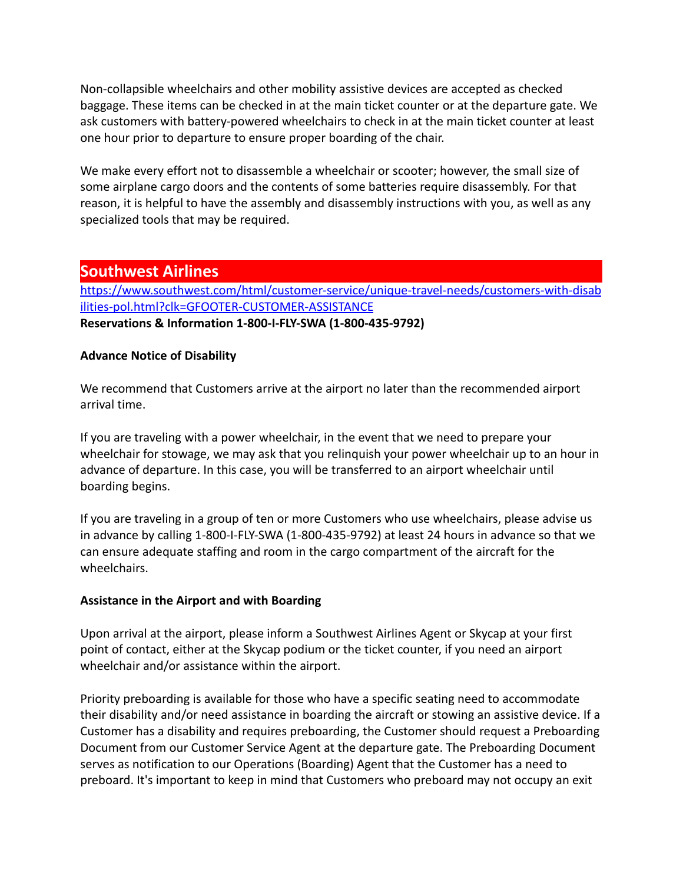Non-collapsible wheelchairs and other mobility assistive devices are accepted as checked baggage. These items can be checked in at the main ticket counter or at the departure gate. We ask customers with battery-powered wheelchairs to check in at the main ticket counter at least one hour prior to departure to ensure proper boarding of the chair.

We make every effort not to disassemble a wheelchair or scooter; however, the small size of some airplane cargo doors and the contents of some batteries require disassembly. For that reason, it is helpful to have the assembly and disassembly instructions with you, as well as any specialized tools that may be required.

# **Southwest Airlines**

[https://www.southwest.com/html/customer-service/unique-travel-needs/customers-with-disab](https://www.southwest.com/html/customer-service/unique-travel-needs/customers-with-disabilities-pol.html?clk=GFOOTER-CUSTOMER-ASSISTANCE) [ilities-pol.html?clk=GFOOTER-CUSTOMER-ASSISTANCE](https://www.southwest.com/html/customer-service/unique-travel-needs/customers-with-disabilities-pol.html?clk=GFOOTER-CUSTOMER-ASSISTANCE) **Reservations & Information 1-800-I-FLY-SWA (1-800-435-9792)**

# **Advance Notice of Disability**

We recommend that Customers arrive at the airport no later than the recommended airport arrival time.

If you are traveling with a power wheelchair, in the event that we need to prepare your wheelchair for stowage, we may ask that you relinquish your power wheelchair up to an hour in advance of departure. In this case, you will be transferred to an airport wheelchair until boarding begins.

If you are traveling in a group of ten or more Customers who use wheelchairs, please advise us in advance by calling 1-800-I-FLY-SWA (1-800-435-9792) at least 24 hours in advance so that we can ensure adequate staffing and room in the cargo compartment of the aircraft for the wheelchairs.

# **Assistance in the Airport and with Boarding**

Upon arrival at the airport, please inform a Southwest Airlines Agent or Skycap at your first point of contact, either at the Skycap podium or the ticket counter, if you need an airport wheelchair and/or assistance within the airport.

Priority preboarding is available for those who have a specific seating need to accommodate their disability and/or need assistance in boarding the aircraft or stowing an assistive device. If a Customer has a disability and requires preboarding, the Customer should request a Preboarding Document from our Customer Service Agent at the departure gate. The Preboarding Document serves as notification to our Operations (Boarding) Agent that the Customer has a need to preboard. It's important to keep in mind that Customers who preboard may not occupy an exit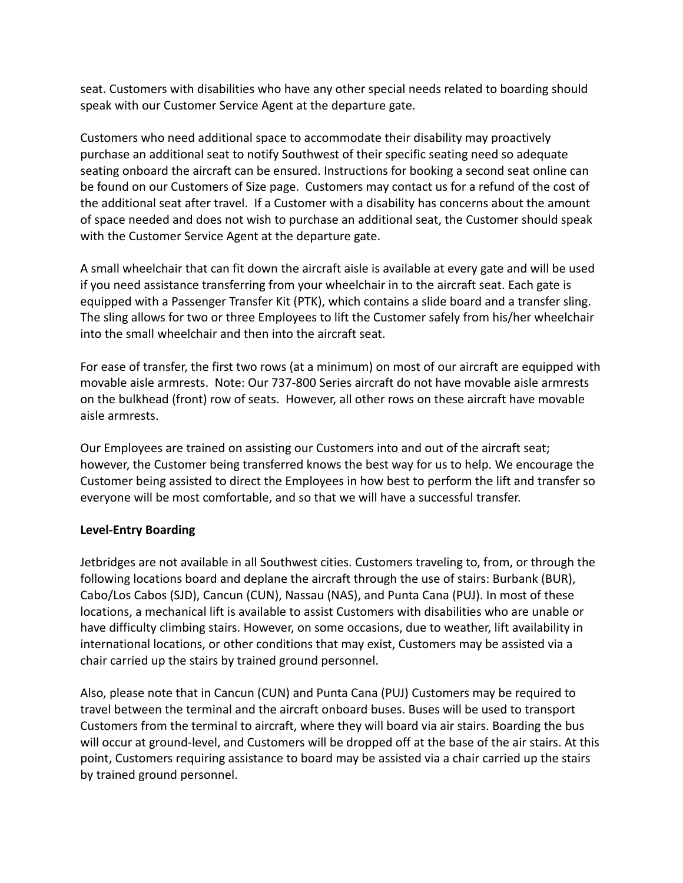seat. Customers with disabilities who have any other special needs related to boarding should speak with our Customer Service Agent at the departure gate.

Customers who need additional space to accommodate their disability may proactively purchase an additional seat to notify Southwest of their specific seating need so adequate seating onboard the aircraft can be ensured. Instructions for booking a second seat online can be found on our Customers of Size page. Customers may contact us for a refund of the cost of the additional seat after travel. If a Customer with a disability has concerns about the amount of space needed and does not wish to purchase an additional seat, the Customer should speak with the Customer Service Agent at the departure gate.

A small wheelchair that can fit down the aircraft aisle is available at every gate and will be used if you need assistance transferring from your wheelchair in to the aircraft seat. Each gate is equipped with a Passenger Transfer Kit (PTK), which contains a slide board and a transfer sling. The sling allows for two or three Employees to lift the Customer safely from his/her wheelchair into the small wheelchair and then into the aircraft seat.

For ease of transfer, the first two rows (at a minimum) on most of our aircraft are equipped with movable aisle armrests. Note: Our 737-800 Series aircraft do not have movable aisle armrests on the bulkhead (front) row of seats. However, all other rows on these aircraft have movable aisle armrests.

Our Employees are trained on assisting our Customers into and out of the aircraft seat; however, the Customer being transferred knows the best way for us to help. We encourage the Customer being assisted to direct the Employees in how best to perform the lift and transfer so everyone will be most comfortable, and so that we will have a successful transfer.

# **Level-Entry Boarding**

Jetbridges are not available in all Southwest cities. Customers traveling to, from, or through the following locations board and deplane the aircraft through the use of stairs: Burbank (BUR), Cabo/Los Cabos (SJD), Cancun (CUN), Nassau (NAS), and Punta Cana (PUJ). In most of these locations, a mechanical lift is available to assist Customers with disabilities who are unable or have difficulty climbing stairs. However, on some occasions, due to weather, lift availability in international locations, or other conditions that may exist, Customers may be assisted via a chair carried up the stairs by trained ground personnel.

Also, please note that in Cancun (CUN) and Punta Cana (PUJ) Customers may be required to travel between the terminal and the aircraft onboard buses. Buses will be used to transport Customers from the terminal to aircraft, where they will board via air stairs. Boarding the bus will occur at ground-level, and Customers will be dropped off at the base of the air stairs. At this point, Customers requiring assistance to board may be assisted via a chair carried up the stairs by trained ground personnel.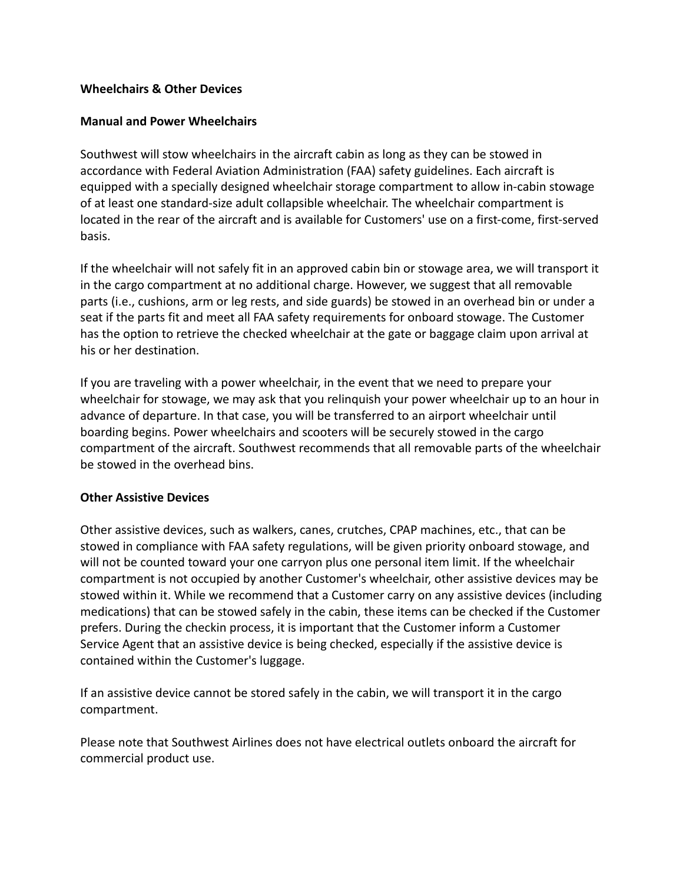#### **Wheelchairs & Other Devices**

#### **Manual and Power Wheelchairs**

Southwest will stow wheelchairs in the aircraft cabin as long as they can be stowed in accordance with Federal Aviation Administration (FAA) safety guidelines. Each aircraft is equipped with a specially designed wheelchair storage compartment to allow in-cabin stowage of at least one standard-size adult collapsible wheelchair. The wheelchair compartment is located in the rear of the aircraft and is available for Customers' use on a first-come, first-served basis.

If the wheelchair will not safely fit in an approved cabin bin or stowage area, we will transport it in the cargo compartment at no additional charge. However, we suggest that all removable parts (i.e., cushions, arm or leg rests, and side guards) be stowed in an overhead bin or under a seat if the parts fit and meet all FAA safety requirements for onboard stowage. The Customer has the option to retrieve the checked wheelchair at the gate or baggage claim upon arrival at his or her destination.

If you are traveling with a power wheelchair, in the event that we need to prepare your wheelchair for stowage, we may ask that you relinquish your power wheelchair up to an hour in advance of departure. In that case, you will be transferred to an airport wheelchair until boarding begins. Power wheelchairs and scooters will be securely stowed in the cargo compartment of the aircraft. Southwest recommends that all removable parts of the wheelchair be stowed in the overhead bins.

#### **Other Assistive Devices**

Other assistive devices, such as walkers, canes, crutches, CPAP machines, etc., that can be stowed in compliance with FAA safety regulations, will be given priority onboard stowage, and will not be counted toward your one carryon plus one personal item limit. If the wheelchair compartment is not occupied by another Customer's wheelchair, other assistive devices may be stowed within it. While we recommend that a Customer carry on any assistive devices (including medications) that can be stowed safely in the cabin, these items can be checked if the Customer prefers. During the checkin process, it is important that the Customer inform a Customer Service Agent that an assistive device is being checked, especially if the assistive device is contained within the Customer's luggage.

If an assistive device cannot be stored safely in the cabin, we will transport it in the cargo compartment.

Please note that Southwest Airlines does not have electrical outlets onboard the aircraft for commercial product use.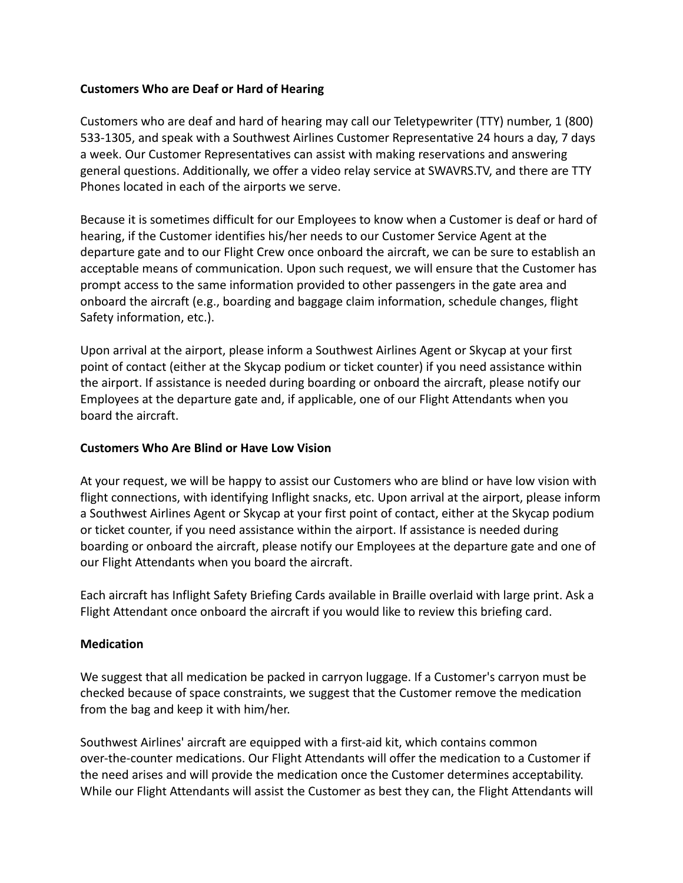#### **Customers Who are Deaf or Hard of Hearing**

Customers who are deaf and hard of hearing may call our Teletypewriter (TTY) number, 1 (800) 533-1305, and speak with a Southwest Airlines Customer Representative 24 hours a day, 7 days a week. Our Customer Representatives can assist with making reservations and answering general questions. Additionally, we offer a video relay service at SWAVRS.TV, and there are TTY Phones located in each of the airports we serve.

Because it is sometimes difficult for our Employees to know when a Customer is deaf or hard of hearing, if the Customer identifies his/her needs to our Customer Service Agent at the departure gate and to our Flight Crew once onboard the aircraft, we can be sure to establish an acceptable means of communication. Upon such request, we will ensure that the Customer has prompt access to the same information provided to other passengers in the gate area and onboard the aircraft (e.g., boarding and baggage claim information, schedule changes, flight Safety information, etc.).

Upon arrival at the airport, please inform a Southwest Airlines Agent or Skycap at your first point of contact (either at the Skycap podium or ticket counter) if you need assistance within the airport. If assistance is needed during boarding or onboard the aircraft, please notify our Employees at the departure gate and, if applicable, one of our Flight Attendants when you board the aircraft.

#### **Customers Who Are Blind or Have Low Vision**

At your request, we will be happy to assist our Customers who are blind or have low vision with flight connections, with identifying Inflight snacks, etc. Upon arrival at the airport, please inform a Southwest Airlines Agent or Skycap at your first point of contact, either at the Skycap podium or ticket counter, if you need assistance within the airport. If assistance is needed during boarding or onboard the aircraft, please notify our Employees at the departure gate and one of our Flight Attendants when you board the aircraft.

Each aircraft has Inflight Safety Briefing Cards available in Braille overlaid with large print. Ask a Flight Attendant once onboard the aircraft if you would like to review this briefing card.

# **Medication**

We suggest that all medication be packed in carryon luggage. If a Customer's carryon must be checked because of space constraints, we suggest that the Customer remove the medication from the bag and keep it with him/her.

Southwest Airlines' aircraft are equipped with a first-aid kit, which contains common over-the-counter medications. Our Flight Attendants will offer the medication to a Customer if the need arises and will provide the medication once the Customer determines acceptability. While our Flight Attendants will assist the Customer as best they can, the Flight Attendants will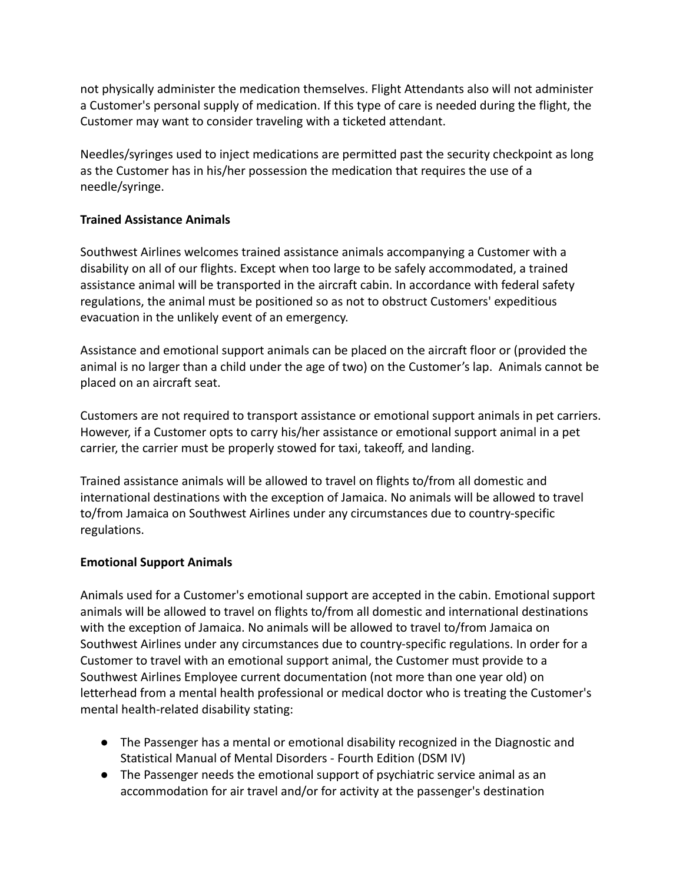not physically administer the medication themselves. Flight Attendants also will not administer a Customer's personal supply of medication. If this type of care is needed during the flight, the Customer may want to consider traveling with a ticketed attendant.

Needles/syringes used to inject medications are permitted past the security checkpoint as long as the Customer has in his/her possession the medication that requires the use of a needle/syringe.

# **Trained Assistance Animals**

Southwest Airlines welcomes trained assistance animals accompanying a Customer with a disability on all of our flights. Except when too large to be safely accommodated, a trained assistance animal will be transported in the aircraft cabin. In accordance with federal safety regulations, the animal must be positioned so as not to obstruct Customers' expeditious evacuation in the unlikely event of an emergency.

Assistance and emotional support animals can be placed on the aircraft floor or (provided the animal is no larger than a child under the age of two) on the Customer's lap. Animals cannot be placed on an aircraft seat.

Customers are not required to transport assistance or emotional support animals in pet carriers. However, if a Customer opts to carry his/her assistance or emotional support animal in a pet carrier, the carrier must be properly stowed for taxi, takeoff, and landing.

Trained assistance animals will be allowed to travel on flights to/from all domestic and international destinations with the exception of Jamaica. No animals will be allowed to travel to/from Jamaica on Southwest Airlines under any circumstances due to country-specific regulations.

#### **Emotional Support Animals**

Animals used for a Customer's emotional support are accepted in the cabin. Emotional support animals will be allowed to travel on flights to/from all domestic and international destinations with the exception of Jamaica. No animals will be allowed to travel to/from Jamaica on Southwest Airlines under any circumstances due to country-specific regulations. In order for a Customer to travel with an emotional support animal, the Customer must provide to a Southwest Airlines Employee current documentation (not more than one year old) on letterhead from a mental health professional or medical doctor who is treating the Customer's mental health-related disability stating:

- The Passenger has a mental or emotional disability recognized in the Diagnostic and Statistical Manual of Mental Disorders - Fourth Edition (DSM IV)
- The Passenger needs the emotional support of psychiatric service animal as an accommodation for air travel and/or for activity at the passenger's destination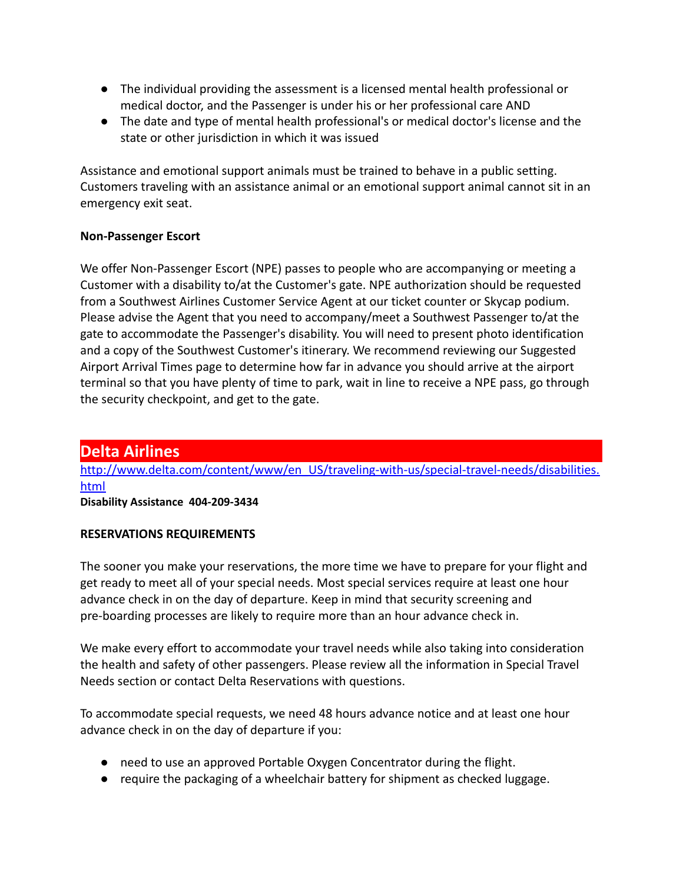- The individual providing the assessment is a licensed mental health professional or medical doctor, and the Passenger is under his or her professional care AND
- The date and type of mental health professional's or medical doctor's license and the state or other jurisdiction in which it was issued

Assistance and emotional support animals must be trained to behave in a public setting. Customers traveling with an assistance animal or an emotional support animal cannot sit in an emergency exit seat.

# **Non-Passenger Escort**

We offer Non-Passenger Escort (NPE) passes to people who are accompanying or meeting a Customer with a disability to/at the Customer's gate. NPE authorization should be requested from a Southwest Airlines Customer Service Agent at our ticket counter or Skycap podium. Please advise the Agent that you need to accompany/meet a Southwest Passenger to/at the gate to accommodate the Passenger's disability. You will need to present photo identification and a copy of the Southwest Customer's itinerary. We recommend reviewing our Suggested Airport Arrival Times page to determine how far in advance you should arrive at the airport terminal so that you have plenty of time to park, wait in line to receive a NPE pass, go through the security checkpoint, and get to the gate.

# **Delta Airlines**

[http://www.delta.com/content/www/en\\_US/traveling-with-us/special-travel-needs/disabilities.](http://www.delta.com/content/www/en_US/traveling-with-us/special-travel-needs/disabilities.html) [html](http://www.delta.com/content/www/en_US/traveling-with-us/special-travel-needs/disabilities.html)

**Disability Assistance 404-209-3434**

# **RESERVATIONS REQUIREMENTS**

The sooner you make your reservations, the more time we have to prepare for your flight and get ready to meet all of your special needs. Most special services require at least one hour advance check in on the day of departure. Keep in mind that security screening and pre-boarding processes are likely to require more than an hour advance check in.

We make every effort to accommodate your travel needs while also taking into consideration the health and safety of other passengers. Please review all the information in Special Travel Needs section or contact Delta Reservations with questions.

To accommodate special requests, we need 48 hours advance notice and at least one hour advance check in on the day of departure if you:

- need to use an approved Portable Oxygen Concentrator during the flight.
- require the packaging of a wheelchair battery for shipment as checked luggage.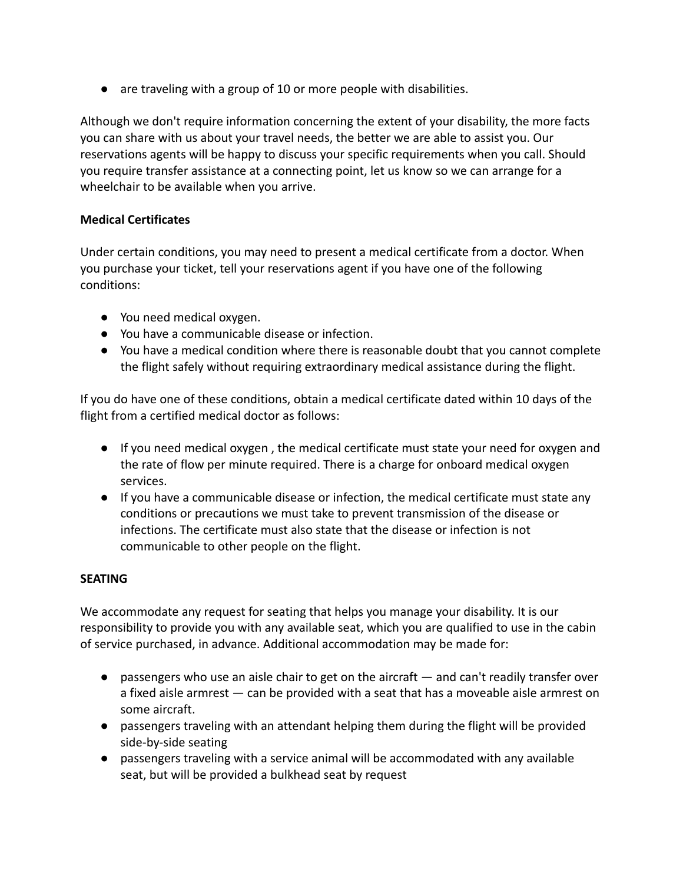● are traveling with a group of 10 or more people with disabilities.

Although we don't require information concerning the extent of your disability, the more facts you can share with us about your travel needs, the better we are able to assist you. Our reservations agents will be happy to discuss your specific requirements when you call. Should you require transfer assistance at a connecting point, let us know so we can arrange for a wheelchair to be available when you arrive.

### **Medical Certificates**

Under certain conditions, you may need to present a medical certificate from a doctor. When you purchase your ticket, tell your reservations agent if you have one of the following conditions:

- You need medical oxygen.
- You have a communicable disease or infection.
- You have a medical condition where there is reasonable doubt that you cannot complete the flight safely without requiring extraordinary medical assistance during the flight.

If you do have one of these conditions, obtain a medical certificate dated within 10 days of the flight from a certified medical doctor as follows:

- If you need medical oxygen , the medical certificate must state your need for oxygen and the rate of flow per minute required. There is a charge for onboard medical oxygen services.
- If you have a communicable disease or infection, the medical certificate must state any conditions or precautions we must take to prevent transmission of the disease or infections. The certificate must also state that the disease or infection is not communicable to other people on the flight.

# **SEATING**

We accommodate any request for seating that helps you manage your disability. It is our responsibility to provide you with any available seat, which you are qualified to use in the cabin of service purchased, in advance. Additional accommodation may be made for:

- passengers who use an aisle chair to get on the aircraft and can't readily transfer over a fixed aisle armrest — can be provided with a seat that has a moveable aisle armrest on some aircraft.
- passengers traveling with an attendant helping them during the flight will be provided side-by-side seating
- passengers traveling with a service animal will be accommodated with any available seat, but will be provided a bulkhead seat by request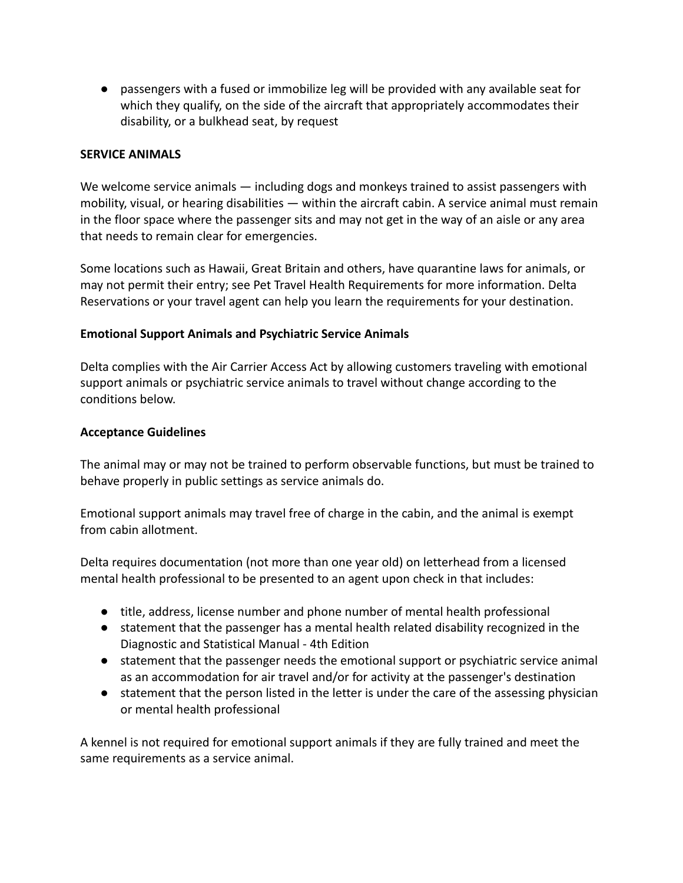● passengers with a fused or immobilize leg will be provided with any available seat for which they qualify, on the side of the aircraft that appropriately accommodates their disability, or a bulkhead seat, by request

#### **SERVICE ANIMALS**

We welcome service animals — including dogs and monkeys trained to assist passengers with mobility, visual, or hearing disabilities — within the aircraft cabin. A service animal must remain in the floor space where the passenger sits and may not get in the way of an aisle or any area that needs to remain clear for emergencies.

Some locations such as Hawaii, Great Britain and others, have quarantine laws for animals, or may not permit their entry; see Pet Travel Health Requirements for more information. Delta Reservations or your travel agent can help you learn the requirements for your destination.

#### **Emotional Support Animals and Psychiatric Service Animals**

Delta complies with the Air Carrier Access Act by allowing customers traveling with emotional support animals or psychiatric service animals to travel without change according to the conditions below.

#### **Acceptance Guidelines**

The animal may or may not be trained to perform observable functions, but must be trained to behave properly in public settings as service animals do.

Emotional support animals may travel free of charge in the cabin, and the animal is exempt from cabin allotment.

Delta requires documentation (not more than one year old) on letterhead from a licensed mental health professional to be presented to an agent upon check in that includes:

- title, address, license number and phone number of mental health professional
- statement that the passenger has a mental health related disability recognized in the Diagnostic and Statistical Manual - 4th Edition
- statement that the passenger needs the emotional support or psychiatric service animal as an accommodation for air travel and/or for activity at the passenger's destination
- statement that the person listed in the letter is under the care of the assessing physician or mental health professional

A kennel is not required for emotional support animals if they are fully trained and meet the same requirements as a service animal.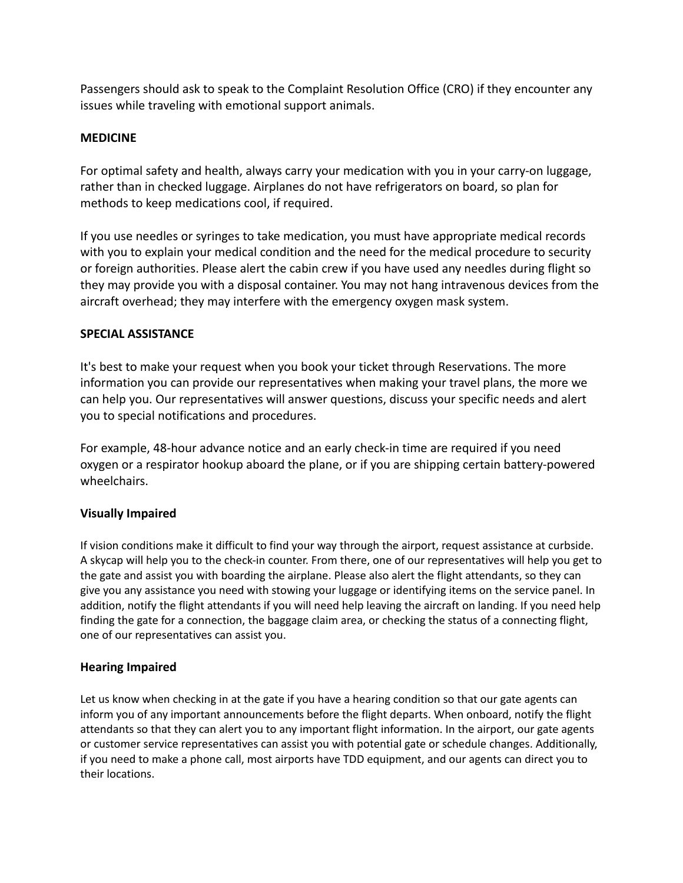Passengers should ask to speak to the Complaint Resolution Office (CRO) if they encounter any issues while traveling with emotional support animals.

#### **MEDICINE**

For optimal safety and health, always carry your medication with you in your carry-on luggage, rather than in checked luggage. Airplanes do not have refrigerators on board, so plan for methods to keep medications cool, if required.

If you use needles or syringes to take medication, you must have appropriate medical records with you to explain your medical condition and the need for the medical procedure to security or foreign authorities. Please alert the cabin crew if you have used any needles during flight so they may provide you with a disposal container. You may not hang intravenous devices from the aircraft overhead; they may interfere with the emergency oxygen mask system.

#### **SPECIAL ASSISTANCE**

It's best to make your request when you book your ticket through Reservations. The more information you can provide our representatives when making your travel plans, the more we can help you. Our representatives will answer questions, discuss your specific needs and alert you to special notifications and procedures.

For example, 48-hour advance notice and an early check-in time are required if you need oxygen or a respirator hookup aboard the plane, or if you are shipping certain battery-powered wheelchairs.

#### **Visually Impaired**

If vision conditions make it difficult to find your way through the airport, request assistance at curbside. A skycap will help you to the check-in counter. From there, one of our representatives will help you get to the gate and assist you with boarding the airplane. Please also alert the flight attendants, so they can give you any assistance you need with stowing your luggage or identifying items on the service panel. In addition, notify the flight attendants if you will need help leaving the aircraft on landing. If you need help finding the gate for a connection, the baggage claim area, or checking the status of a connecting flight, one of our representatives can assist you.

#### **Hearing Impaired**

Let us know when checking in at the gate if you have a hearing condition so that our gate agents can inform you of any important announcements before the flight departs. When onboard, notify the flight attendants so that they can alert you to any important flight information. In the airport, our gate agents or customer service representatives can assist you with potential gate or schedule changes. Additionally, if you need to make a phone call, most airports have TDD equipment, and our agents can direct you to their locations.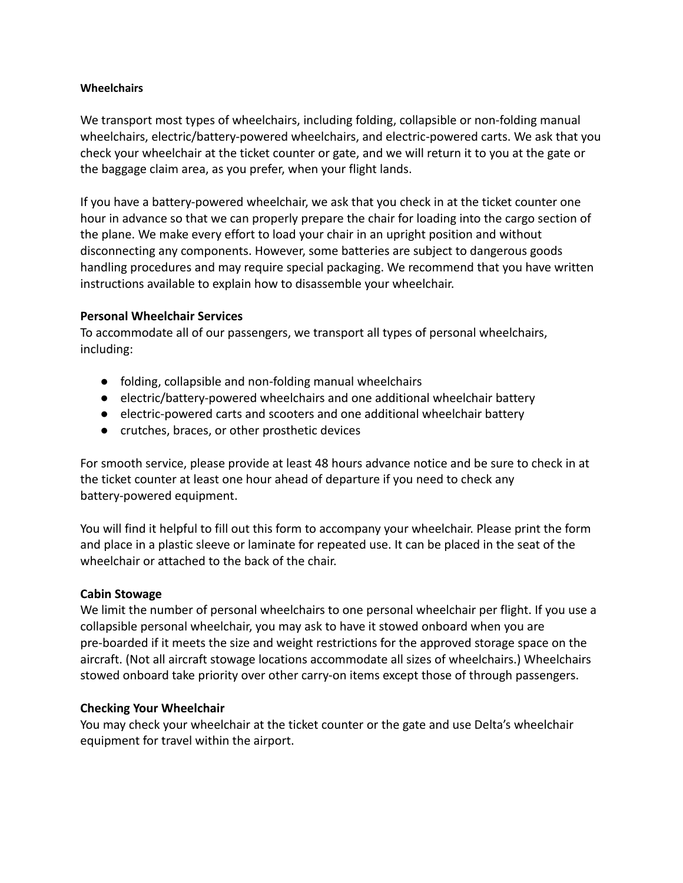#### **Wheelchairs**

We transport most types of wheelchairs, including folding, collapsible or non-folding manual wheelchairs, electric/battery-powered wheelchairs, and electric-powered carts. We ask that you check your wheelchair at the ticket counter or gate, and we will return it to you at the gate or the baggage claim area, as you prefer, when your flight lands.

If you have a battery-powered wheelchair, we ask that you check in at the ticket counter one hour in advance so that we can properly prepare the chair for loading into the cargo section of the plane. We make every effort to load your chair in an upright position and without disconnecting any components. However, some batteries are subject to dangerous goods handling procedures and may require special packaging. We recommend that you have written instructions available to explain how to disassemble your wheelchair.

#### **Personal Wheelchair Services**

To accommodate all of our passengers, we transport all types of personal wheelchairs, including:

- folding, collapsible and non-folding manual wheelchairs
- electric/battery-powered wheelchairs and one additional wheelchair battery
- electric-powered carts and scooters and one additional wheelchair battery
- crutches, braces, or other prosthetic devices

For smooth service, please provide at least 48 hours advance notice and be sure to check in at the ticket counter at least one hour ahead of departure if you need to check any battery-powered equipment.

You will find it helpful to fill out this form to accompany your wheelchair. Please print the form and place in a plastic sleeve or laminate for repeated use. It can be placed in the seat of the wheelchair or attached to the back of the chair.

#### **Cabin Stowage**

We limit the number of personal wheelchairs to one personal wheelchair per flight. If you use a collapsible personal wheelchair, you may ask to have it stowed onboard when you are pre-boarded if it meets the size and weight restrictions for the approved storage space on the aircraft. (Not all aircraft stowage locations accommodate all sizes of wheelchairs.) Wheelchairs stowed onboard take priority over other carry-on items except those of through passengers.

#### **Checking Your Wheelchair**

You may check your wheelchair at the ticket counter or the gate and use Delta's wheelchair equipment for travel within the airport.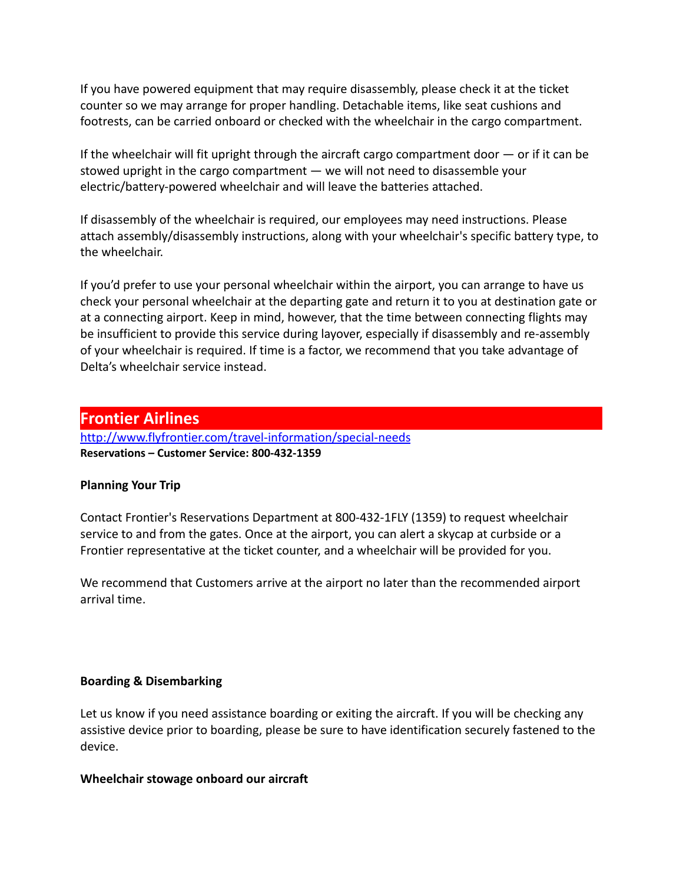If you have powered equipment that may require disassembly, please check it at the ticket counter so we may arrange for proper handling. Detachable items, like seat cushions and footrests, can be carried onboard or checked with the wheelchair in the cargo compartment.

If the wheelchair will fit upright through the aircraft cargo compartment door  $-$  or if it can be stowed upright in the cargo compartment — we will not need to disassemble your electric/battery-powered wheelchair and will leave the batteries attached.

If disassembly of the wheelchair is required, our employees may need instructions. Please attach assembly/disassembly instructions, along with your wheelchair's specific battery type, to the wheelchair.

If you'd prefer to use your personal wheelchair within the airport, you can arrange to have us check your personal wheelchair at the departing gate and return it to you at destination gate or at a connecting airport. Keep in mind, however, that the time between connecting flights may be insufficient to provide this service during layover, especially if disassembly and re-assembly of your wheelchair is required. If time is a factor, we recommend that you take advantage of Delta's wheelchair service instead.

# **Frontier Airlines**

<http://www.flyfrontier.com/travel-information/special-needs> **Reservations – Customer Service: 800-432-1359**

# **Planning Your Trip**

Contact Frontier's Reservations Department at 800-432-1FLY (1359) to request wheelchair service to and from the gates. Once at the airport, you can alert a skycap at curbside or a Frontier representative at the ticket counter, and a wheelchair will be provided for you.

We recommend that Customers arrive at the airport no later than the recommended airport arrival time.

#### **Boarding & Disembarking**

Let us know if you need assistance boarding or exiting the aircraft. If you will be checking any assistive device prior to boarding, please be sure to have identification securely fastened to the device.

#### **Wheelchair stowage onboard our aircraft**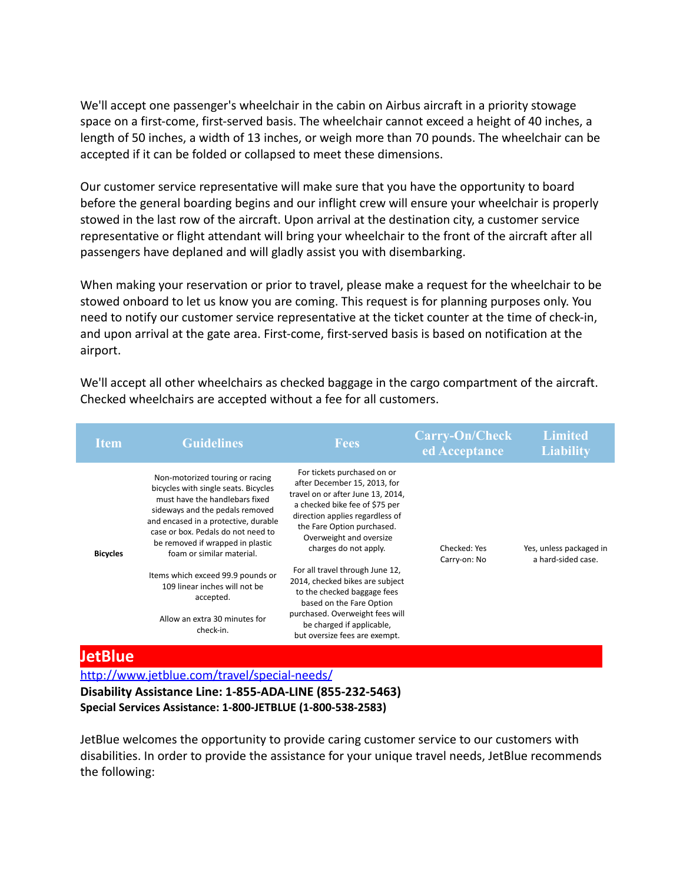We'll accept one passenger's wheelchair in the cabin on Airbus aircraft in a priority stowage space on a first-come, first-served basis. The wheelchair cannot exceed a height of 40 inches, a length of 50 inches, a width of 13 inches, or weigh more than 70 pounds. The wheelchair can be accepted if it can be folded or collapsed to meet these dimensions.

Our customer service representative will make sure that you have the opportunity to board before the general boarding begins and our inflight crew will ensure your wheelchair is properly stowed in the last row of the aircraft. Upon arrival at the destination city, a customer service representative or flight attendant will bring your wheelchair to the front of the aircraft after all passengers have deplaned and will gladly assist you with disembarking.

When making your reservation or prior to travel, please make a request for the wheelchair to be stowed onboard to let us know you are coming. This request is for planning purposes only. You need to notify our customer service representative at the ticket counter at the time of check-in, and upon arrival at the gate area. First-come, first-served basis is based on notification at the airport.

We'll accept all other wheelchairs as checked baggage in the cargo compartment of the aircraft. Checked wheelchairs are accepted without a fee for all customers.

| <b>Item</b>     | <b>Guidelines</b>                                                                                                                                                                                                                                                                                                                                                                                                            | <b>Fees</b>                                                                                                                                                                                                                                                                                                                                                                                                                                                                               | Carry-On/Check<br>ed Acceptance | <b>Limited</b><br><b>Liability</b>            |
|-----------------|------------------------------------------------------------------------------------------------------------------------------------------------------------------------------------------------------------------------------------------------------------------------------------------------------------------------------------------------------------------------------------------------------------------------------|-------------------------------------------------------------------------------------------------------------------------------------------------------------------------------------------------------------------------------------------------------------------------------------------------------------------------------------------------------------------------------------------------------------------------------------------------------------------------------------------|---------------------------------|-----------------------------------------------|
| <b>Bicycles</b> | Non-motorized touring or racing<br>bicycles with single seats. Bicycles<br>must have the handlebars fixed<br>sideways and the pedals removed<br>and encased in a protective, durable<br>case or box. Pedals do not need to<br>be removed if wrapped in plastic<br>foam or similar material.<br>Items which exceed 99.9 pounds or<br>109 linear inches will not be<br>accepted.<br>Allow an extra 30 minutes for<br>check-in. | For tickets purchased on or<br>after December 15, 2013, for<br>travel on or after June 13, 2014,<br>a checked bike fee of \$75 per<br>direction applies regardless of<br>the Fare Option purchased.<br>Overweight and oversize<br>charges do not apply.<br>For all travel through June 12,<br>2014, checked bikes are subject<br>to the checked baggage fees<br>based on the Fare Option<br>purchased. Overweight fees will<br>be charged if applicable,<br>but oversize fees are exempt. | Checked: Yes<br>Carry-on: No    | Yes, unless packaged in<br>a hard-sided case. |

# **JetBlue**

<http://www.jetblue.com/travel/special-needs/>

**Disability Assistance Line: 1-855-ADA-LINE (855-232-5463) Special Services Assistance: 1-800-JETBLUE (1-800-538-2583)**

JetBlue welcomes the opportunity to provide caring customer service to our customers with disabilities. In order to provide the assistance for your unique travel needs, JetBlue recommends the following: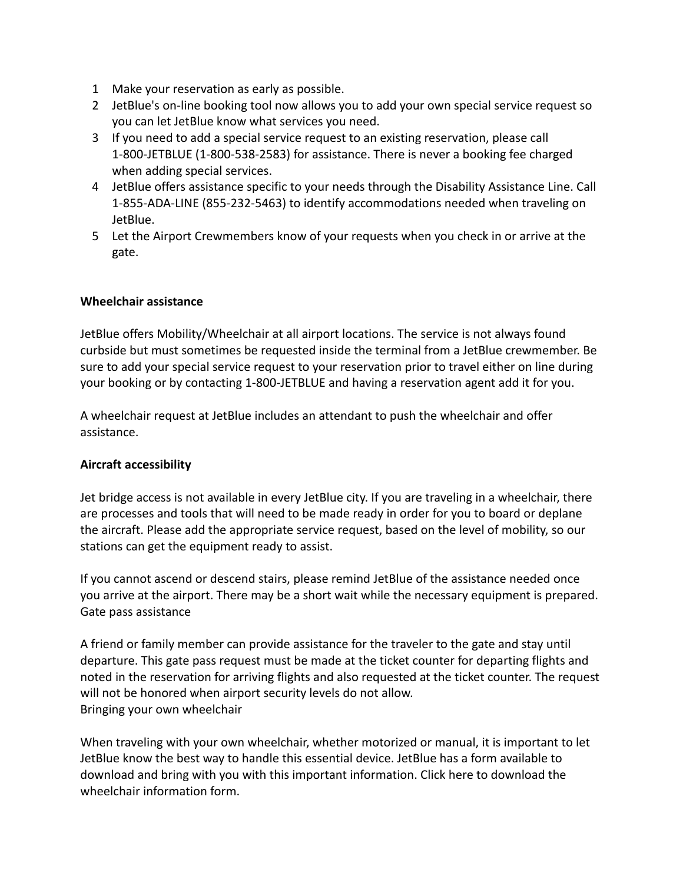- 1 Make your reservation as early as possible.
- 2 JetBlue's on-line booking tool now allows you to add your own special service request so you can let JetBlue know what services you need.
- 3 If you need to add a special service request to an existing reservation, please call 1-800-JETBLUE (1-800-538-2583) for assistance. There is never a booking fee charged when adding special services.
- 4 JetBlue offers assistance specific to your needs through the Disability Assistance Line. Call 1-855-ADA-LINE (855-232-5463) to identify accommodations needed when traveling on JetBlue.
- 5 Let the Airport Crewmembers know of your requests when you check in or arrive at the gate.

#### **Wheelchair assistance**

JetBlue offers Mobility/Wheelchair at all airport locations. The service is not always found curbside but must sometimes be requested inside the terminal from a JetBlue crewmember. Be sure to add your special service request to your reservation prior to travel either on line during your booking or by contacting 1-800-JETBLUE and having a reservation agent add it for you.

A wheelchair request at JetBlue includes an attendant to push the wheelchair and offer assistance.

# **Aircraft accessibility**

Jet bridge access is not available in every JetBlue city. If you are traveling in a wheelchair, there are processes and tools that will need to be made ready in order for you to board or deplane the aircraft. Please add the appropriate service request, based on the level of mobility, so our stations can get the equipment ready to assist.

If you cannot ascend or descend stairs, please remind JetBlue of the assistance needed once you arrive at the airport. There may be a short wait while the necessary equipment is prepared. Gate pass assistance

A friend or family member can provide assistance for the traveler to the gate and stay until departure. This gate pass request must be made at the ticket counter for departing flights and noted in the reservation for arriving flights and also requested at the ticket counter. The request will not be honored when airport security levels do not allow. Bringing your own wheelchair

When traveling with your own wheelchair, whether motorized or manual, it is important to let JetBlue know the best way to handle this essential device. JetBlue has a form available to download and bring with you with this important information. Click here to download the wheelchair information form.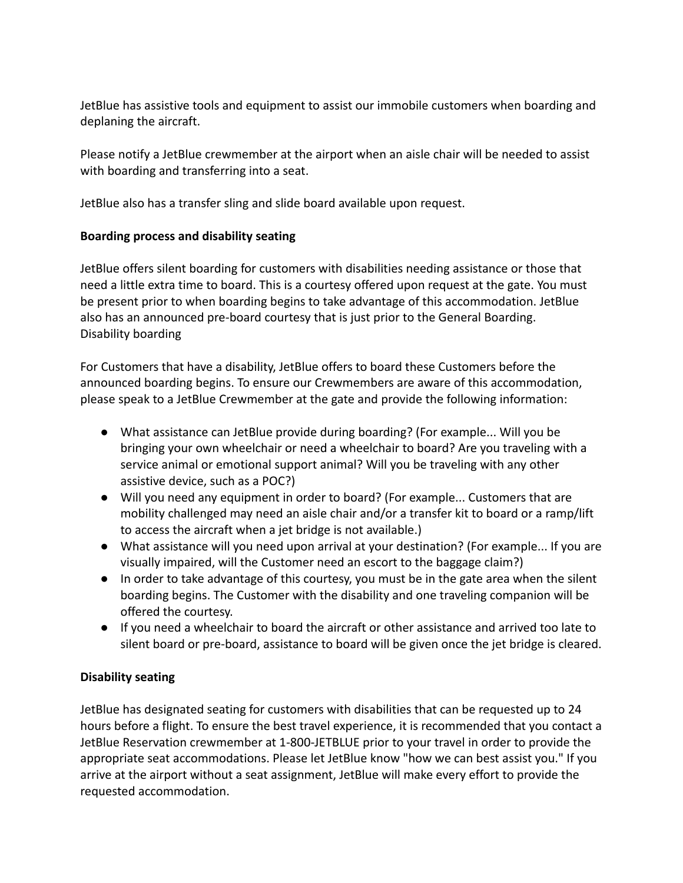JetBlue has assistive tools and equipment to assist our immobile customers when boarding and deplaning the aircraft.

Please notify a JetBlue crewmember at the airport when an aisle chair will be needed to assist with boarding and transferring into a seat.

JetBlue also has a transfer sling and slide board available upon request.

# **Boarding process and disability seating**

JetBlue offers silent boarding for customers with disabilities needing assistance or those that need a little extra time to board. This is a courtesy offered upon request at the gate. You must be present prior to when boarding begins to take advantage of this accommodation. JetBlue also has an announced pre-board courtesy that is just prior to the General Boarding. Disability boarding

For Customers that have a disability, JetBlue offers to board these Customers before the announced boarding begins. To ensure our Crewmembers are aware of this accommodation, please speak to a JetBlue Crewmember at the gate and provide the following information:

- What assistance can JetBlue provide during boarding? (For example... Will you be bringing your own wheelchair or need a wheelchair to board? Are you traveling with a service animal or emotional support animal? Will you be traveling with any other assistive device, such as a POC?)
- Will you need any equipment in order to board? (For example... Customers that are mobility challenged may need an aisle chair and/or a transfer kit to board or a ramp/lift to access the aircraft when a jet bridge is not available.)
- What assistance will you need upon arrival at your destination? (For example... If you are visually impaired, will the Customer need an escort to the baggage claim?)
- In order to take advantage of this courtesy, you must be in the gate area when the silent boarding begins. The Customer with the disability and one traveling companion will be offered the courtesy.
- If you need a wheelchair to board the aircraft or other assistance and arrived too late to silent board or pre-board, assistance to board will be given once the jet bridge is cleared.

# **Disability seating**

JetBlue has designated seating for customers with disabilities that can be requested up to 24 hours before a flight. To ensure the best travel experience, it is recommended that you contact a JetBlue Reservation crewmember at 1-800-JETBLUE prior to your travel in order to provide the appropriate seat accommodations. Please let JetBlue know "how we can best assist you." If you arrive at the airport without a seat assignment, JetBlue will make every effort to provide the requested accommodation.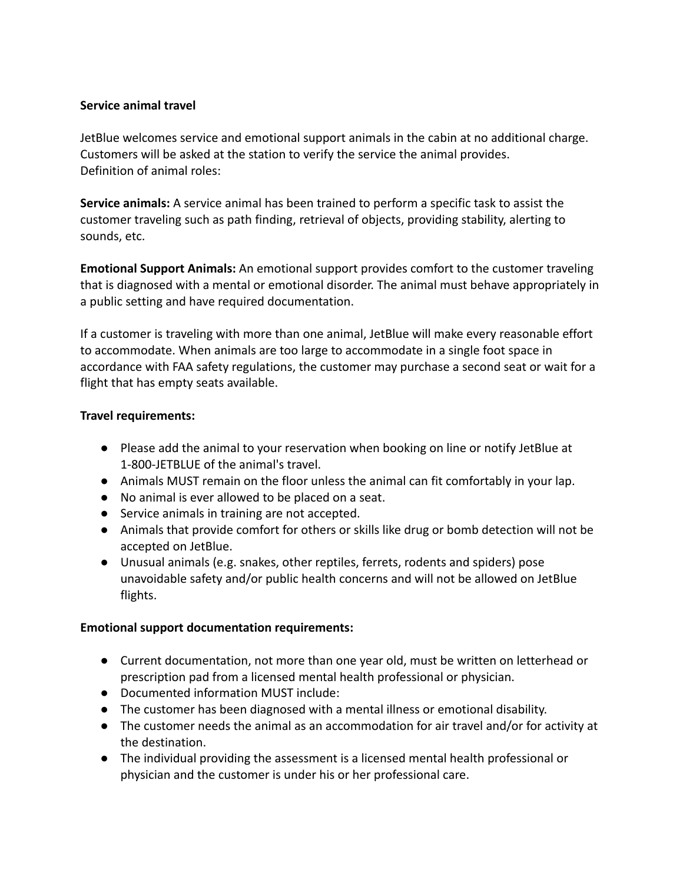### **Service animal travel**

JetBlue welcomes service and emotional support animals in the cabin at no additional charge. Customers will be asked at the station to verify the service the animal provides. Definition of animal roles:

**Service animals:** A service animal has been trained to perform a specific task to assist the customer traveling such as path finding, retrieval of objects, providing stability, alerting to sounds, etc.

**Emotional Support Animals:** An emotional support provides comfort to the customer traveling that is diagnosed with a mental or emotional disorder. The animal must behave appropriately in a public setting and have required documentation.

If a customer is traveling with more than one animal, JetBlue will make every reasonable effort to accommodate. When animals are too large to accommodate in a single foot space in accordance with FAA safety regulations, the customer may purchase a second seat or wait for a flight that has empty seats available.

#### **Travel requirements:**

- Please add the animal to your reservation when booking on line or notify JetBlue at 1-800-JETBLUE of the animal's travel.
- Animals MUST remain on the floor unless the animal can fit comfortably in your lap.
- No animal is ever allowed to be placed on a seat.
- Service animals in training are not accepted.
- Animals that provide comfort for others or skills like drug or bomb detection will not be accepted on JetBlue.
- Unusual animals (e.g. snakes, other reptiles, ferrets, rodents and spiders) pose unavoidable safety and/or public health concerns and will not be allowed on JetBlue flights.

# **Emotional support documentation requirements:**

- Current documentation, not more than one year old, must be written on letterhead or prescription pad from a licensed mental health professional or physician.
- Documented information MUST include:
- The customer has been diagnosed with a mental illness or emotional disability.
- The customer needs the animal as an accommodation for air travel and/or for activity at the destination.
- The individual providing the assessment is a licensed mental health professional or physician and the customer is under his or her professional care.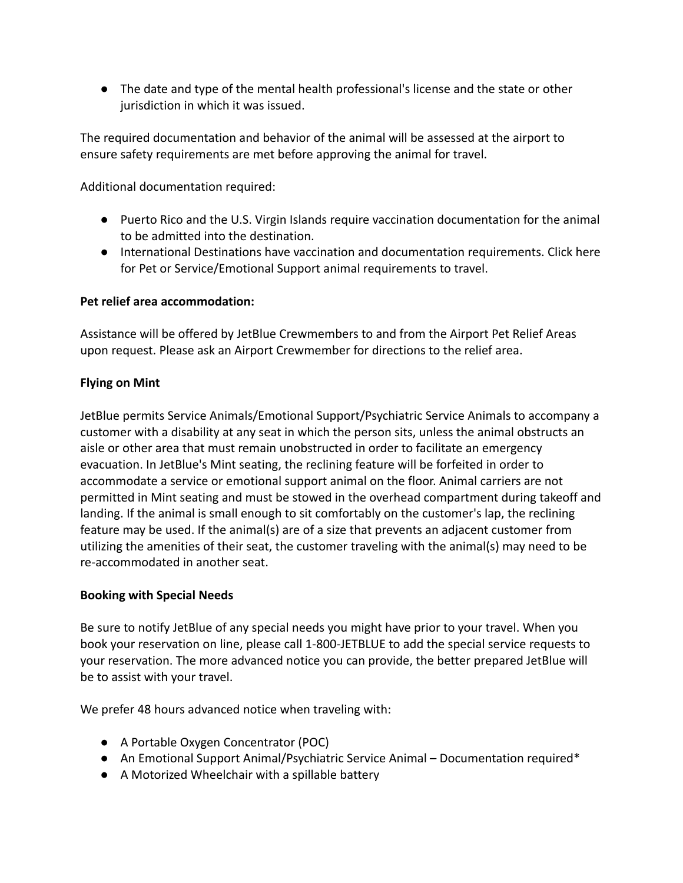● The date and type of the mental health professional's license and the state or other jurisdiction in which it was issued.

The required documentation and behavior of the animal will be assessed at the airport to ensure safety requirements are met before approving the animal for travel.

Additional documentation required:

- Puerto Rico and the U.S. Virgin Islands require vaccination documentation for the animal to be admitted into the destination.
- International Destinations have vaccination and documentation requirements. Click here for Pet or Service/Emotional Support animal requirements to travel.

# **Pet relief area accommodation:**

Assistance will be offered by JetBlue Crewmembers to and from the Airport Pet Relief Areas upon request. Please ask an Airport Crewmember for directions to the relief area.

# **Flying on Mint**

JetBlue permits Service Animals/Emotional Support/Psychiatric Service Animals to accompany a customer with a disability at any seat in which the person sits, unless the animal obstructs an aisle or other area that must remain unobstructed in order to facilitate an emergency evacuation. In JetBlue's Mint seating, the reclining feature will be forfeited in order to accommodate a service or emotional support animal on the floor. Animal carriers are not permitted in Mint seating and must be stowed in the overhead compartment during takeoff and landing. If the animal is small enough to sit comfortably on the customer's lap, the reclining feature may be used. If the animal(s) are of a size that prevents an adjacent customer from utilizing the amenities of their seat, the customer traveling with the animal(s) may need to be re-accommodated in another seat.

# **Booking with Special Needs**

Be sure to notify JetBlue of any special needs you might have prior to your travel. When you book your reservation on line, please call 1-800-JETBLUE to add the special service requests to your reservation. The more advanced notice you can provide, the better prepared JetBlue will be to assist with your travel.

We prefer 48 hours advanced notice when traveling with:

- A Portable Oxygen Concentrator (POC)
- An Emotional Support Animal/Psychiatric Service Animal Documentation required\*
- A Motorized Wheelchair with a spillable battery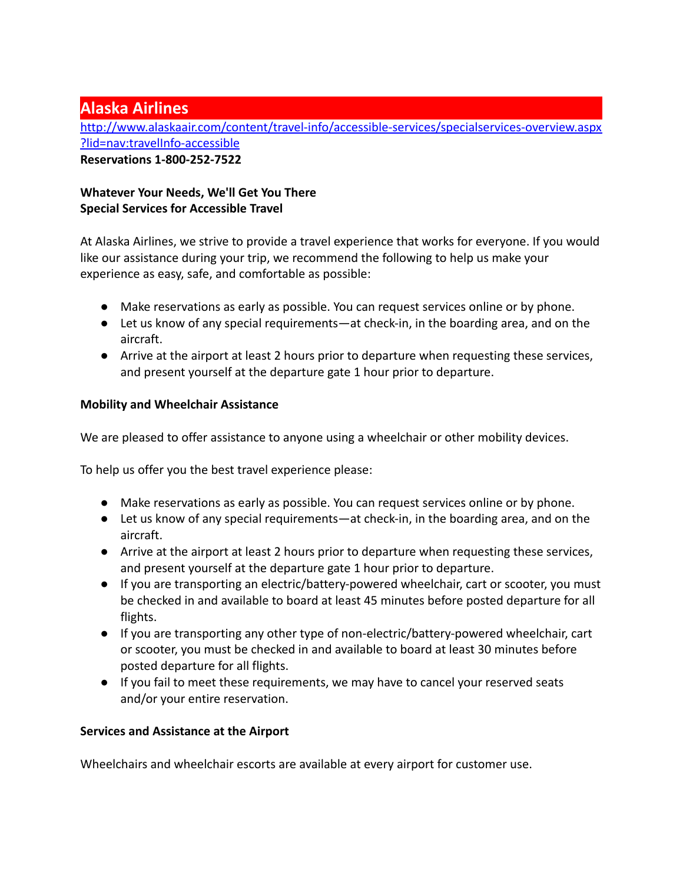# **Alaska Airlines**

[http://www.alaskaair.com/content/travel-info/accessible-services/specialservices-overview.aspx](http://www.alaskaair.com/content/travel-info/accessible-services/specialservices-overview.aspx?lid=nav:travelInfo-accessible) [?lid=nav:travelInfo-accessible](http://www.alaskaair.com/content/travel-info/accessible-services/specialservices-overview.aspx?lid=nav:travelInfo-accessible) **Reservations 1-800-252-7522**

# **Whatever Your Needs, We'll Get You There Special Services for Accessible Travel**

At Alaska Airlines, we strive to provide a travel experience that works for everyone. If you would like our assistance during your trip, we recommend the following to help us make your experience as easy, safe, and comfortable as possible:

- Make reservations as early as possible. You can request services online or by phone.
- Let us know of any special requirements—at check-in, in the boarding area, and on the aircraft.
- Arrive at the airport at least 2 hours prior to departure when requesting these services, and present yourself at the departure gate 1 hour prior to departure.

# **Mobility and Wheelchair Assistance**

We are pleased to offer assistance to anyone using a wheelchair or other mobility devices.

To help us offer you the best travel experience please:

- Make reservations as early as possible. You can request services online or by phone.
- Let us know of any special requirements—at check-in, in the boarding area, and on the aircraft.
- Arrive at the airport at least 2 hours prior to departure when requesting these services, and present yourself at the departure gate 1 hour prior to departure.
- If you are transporting an electric/battery-powered wheelchair, cart or scooter, you must be checked in and available to board at least 45 minutes before posted departure for all flights.
- If you are transporting any other type of non-electric/battery-powered wheelchair, cart or scooter, you must be checked in and available to board at least 30 minutes before posted departure for all flights.
- If you fail to meet these requirements, we may have to cancel your reserved seats and/or your entire reservation.

# **Services and Assistance at the Airport**

Wheelchairs and wheelchair escorts are available at every airport for customer use.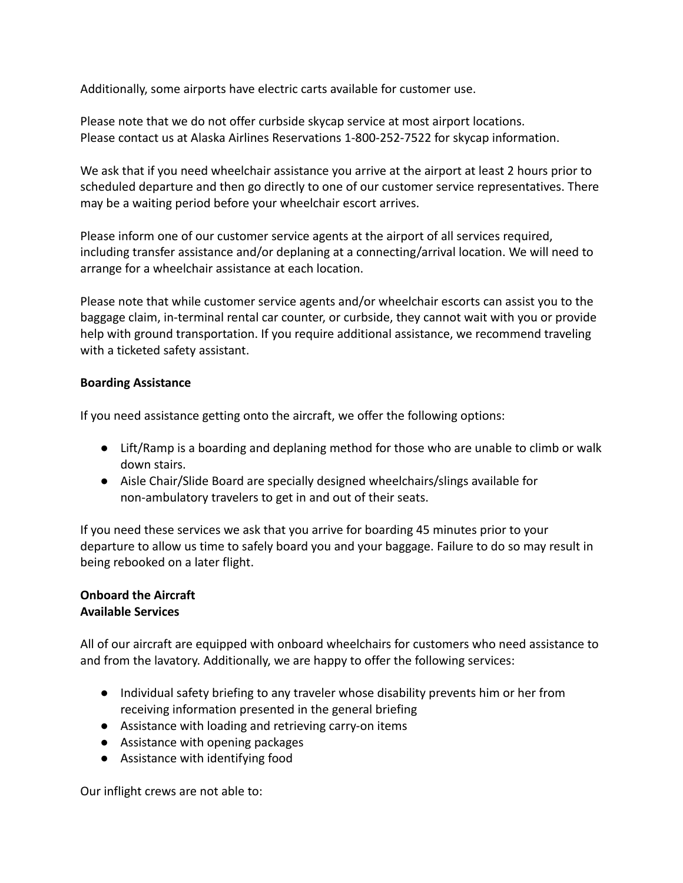Additionally, some airports have electric carts available for customer use.

Please note that we do not offer curbside skycap service at most airport locations. Please contact us at Alaska Airlines Reservations 1-800-252-7522 for skycap information.

We ask that if you need wheelchair assistance you arrive at the airport at least 2 hours prior to scheduled departure and then go directly to one of our customer service representatives. There may be a waiting period before your wheelchair escort arrives.

Please inform one of our customer service agents at the airport of all services required, including transfer assistance and/or deplaning at a connecting/arrival location. We will need to arrange for a wheelchair assistance at each location.

Please note that while customer service agents and/or wheelchair escorts can assist you to the baggage claim, in-terminal rental car counter, or curbside, they cannot wait with you or provide help with ground transportation. If you require additional assistance, we recommend traveling with a ticketed safety assistant.

#### **Boarding Assistance**

If you need assistance getting onto the aircraft, we offer the following options:

- Lift/Ramp is a boarding and deplaning method for those who are unable to climb or walk down stairs.
- Aisle Chair/Slide Board are specially designed wheelchairs/slings available for non-ambulatory travelers to get in and out of their seats.

If you need these services we ask that you arrive for boarding 45 minutes prior to your departure to allow us time to safely board you and your baggage. Failure to do so may result in being rebooked on a later flight.

#### **Onboard the Aircraft Available Services**

All of our aircraft are equipped with onboard wheelchairs for customers who need assistance to and from the lavatory. Additionally, we are happy to offer the following services:

- Individual safety briefing to any traveler whose disability prevents him or her from receiving information presented in the general briefing
- Assistance with loading and retrieving carry-on items
- Assistance with opening packages
- Assistance with identifying food

Our inflight crews are not able to: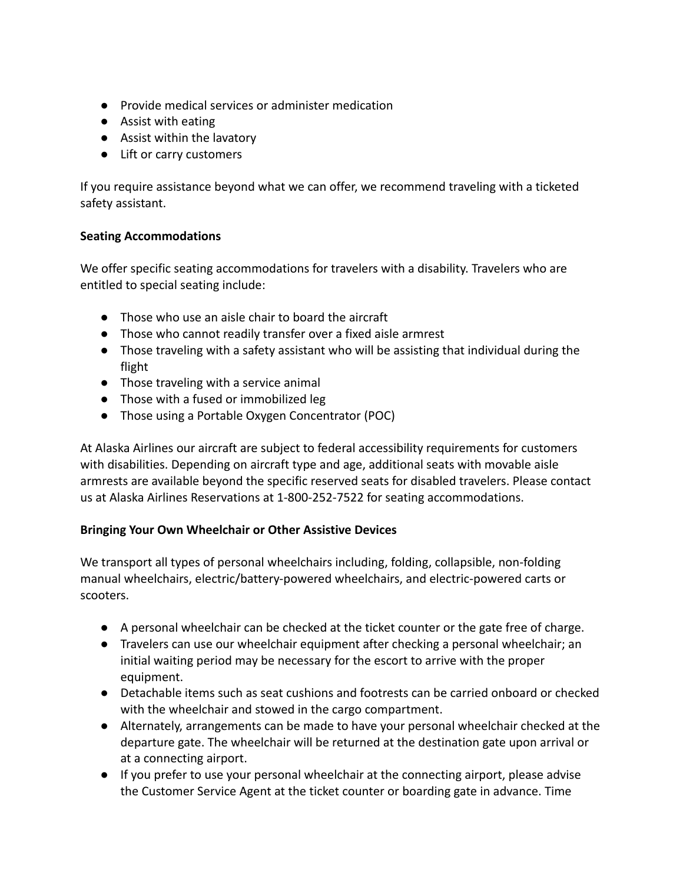- Provide medical services or administer medication
- Assist with eating
- Assist within the lavatory
- Lift or carry customers

If you require assistance beyond what we can offer, we recommend traveling with a ticketed safety assistant.

# **Seating Accommodations**

We offer specific seating accommodations for travelers with a disability. Travelers who are entitled to special seating include:

- Those who use an aisle chair to board the aircraft
- Those who cannot readily transfer over a fixed aisle armrest
- Those traveling with a safety assistant who will be assisting that individual during the flight
- Those traveling with a service animal
- Those with a fused or immobilized leg
- Those using a Portable Oxygen Concentrator (POC)

At Alaska Airlines our aircraft are subject to federal accessibility requirements for customers with disabilities. Depending on aircraft type and age, additional seats with movable aisle armrests are available beyond the specific reserved seats for disabled travelers. Please contact us at Alaska Airlines Reservations at 1-800-252-7522 for seating accommodations.

# **Bringing Your Own Wheelchair or Other Assistive Devices**

We transport all types of personal wheelchairs including, folding, collapsible, non-folding manual wheelchairs, electric/battery-powered wheelchairs, and electric-powered carts or scooters.

- A personal wheelchair can be checked at the ticket counter or the gate free of charge.
- Travelers can use our wheelchair equipment after checking a personal wheelchair; an initial waiting period may be necessary for the escort to arrive with the proper equipment.
- Detachable items such as seat cushions and footrests can be carried onboard or checked with the wheelchair and stowed in the cargo compartment.
- Alternately, arrangements can be made to have your personal wheelchair checked at the departure gate. The wheelchair will be returned at the destination gate upon arrival or at a connecting airport.
- If you prefer to use your personal wheelchair at the connecting airport, please advise the Customer Service Agent at the ticket counter or boarding gate in advance. Time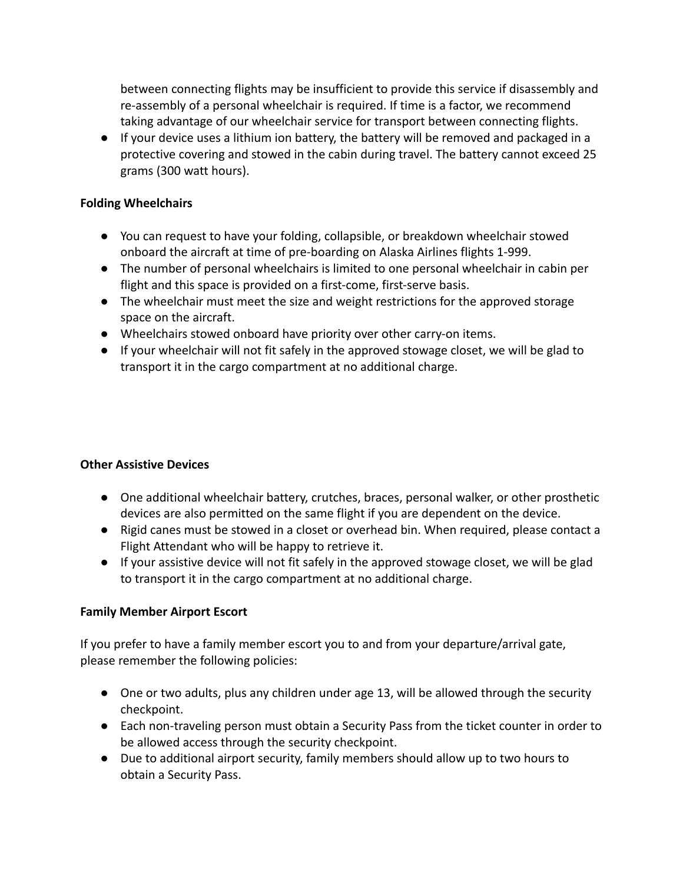between connecting flights may be insufficient to provide this service if disassembly and re-assembly of a personal wheelchair is required. If time is a factor, we recommend taking advantage of our wheelchair service for transport between connecting flights.

● If your device uses a lithium ion battery, the battery will be removed and packaged in a protective covering and stowed in the cabin during travel. The battery cannot exceed 25 grams (300 watt hours).

### **Folding Wheelchairs**

- You can request to have your folding, collapsible, or breakdown wheelchair stowed onboard the aircraft at time of pre-boarding on Alaska Airlines flights 1-999.
- The number of personal wheelchairs is limited to one personal wheelchair in cabin per flight and this space is provided on a first-come, first-serve basis.
- The wheelchair must meet the size and weight restrictions for the approved storage space on the aircraft.
- Wheelchairs stowed onboard have priority over other carry-on items.
- If your wheelchair will not fit safely in the approved stowage closet, we will be glad to transport it in the cargo compartment at no additional charge.

# **Other Assistive Devices**

- One additional wheelchair battery, crutches, braces, personal walker, or other prosthetic devices are also permitted on the same flight if you are dependent on the device.
- Rigid canes must be stowed in a closet or overhead bin. When required, please contact a Flight Attendant who will be happy to retrieve it.
- If your assistive device will not fit safely in the approved stowage closet, we will be glad to transport it in the cargo compartment at no additional charge.

# **Family Member Airport Escort**

If you prefer to have a family member escort you to and from your departure/arrival gate, please remember the following policies:

- One or two adults, plus any children under age 13, will be allowed through the security checkpoint.
- Each non-traveling person must obtain a Security Pass from the ticket counter in order to be allowed access through the security checkpoint.
- Due to additional airport security, family members should allow up to two hours to obtain a Security Pass.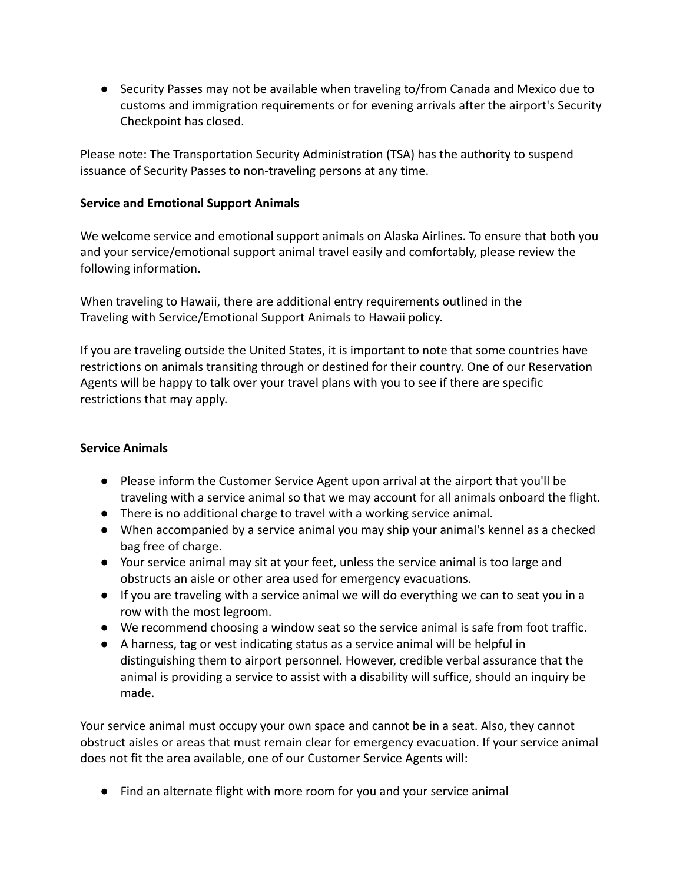● Security Passes may not be available when traveling to/from Canada and Mexico due to customs and immigration requirements or for evening arrivals after the airport's Security Checkpoint has closed.

Please note: The Transportation Security Administration (TSA) has the authority to suspend issuance of Security Passes to non-traveling persons at any time.

### **Service and Emotional Support Animals**

We welcome service and emotional support animals on Alaska Airlines. To ensure that both you and your service/emotional support animal travel easily and comfortably, please review the following information.

When traveling to Hawaii, there are additional entry requirements outlined in the Traveling with Service/Emotional Support Animals to Hawaii policy.

If you are traveling outside the United States, it is important to note that some countries have restrictions on animals transiting through or destined for their country. One of our Reservation Agents will be happy to talk over your travel plans with you to see if there are specific restrictions that may apply.

# **Service Animals**

- Please inform the Customer Service Agent upon arrival at the airport that you'll be traveling with a service animal so that we may account for all animals onboard the flight.
- There is no additional charge to travel with a working service animal.
- When accompanied by a service animal you may ship your animal's kennel as a checked bag free of charge.
- Your service animal may sit at your feet, unless the service animal is too large and obstructs an aisle or other area used for emergency evacuations.
- If you are traveling with a service animal we will do everything we can to seat you in a row with the most legroom.
- We recommend choosing a window seat so the service animal is safe from foot traffic.
- A harness, tag or vest indicating status as a service animal will be helpful in distinguishing them to airport personnel. However, credible verbal assurance that the animal is providing a service to assist with a disability will suffice, should an inquiry be made.

Your service animal must occupy your own space and cannot be in a seat. Also, they cannot obstruct aisles or areas that must remain clear for emergency evacuation. If your service animal does not fit the area available, one of our Customer Service Agents will:

● Find an alternate flight with more room for you and your service animal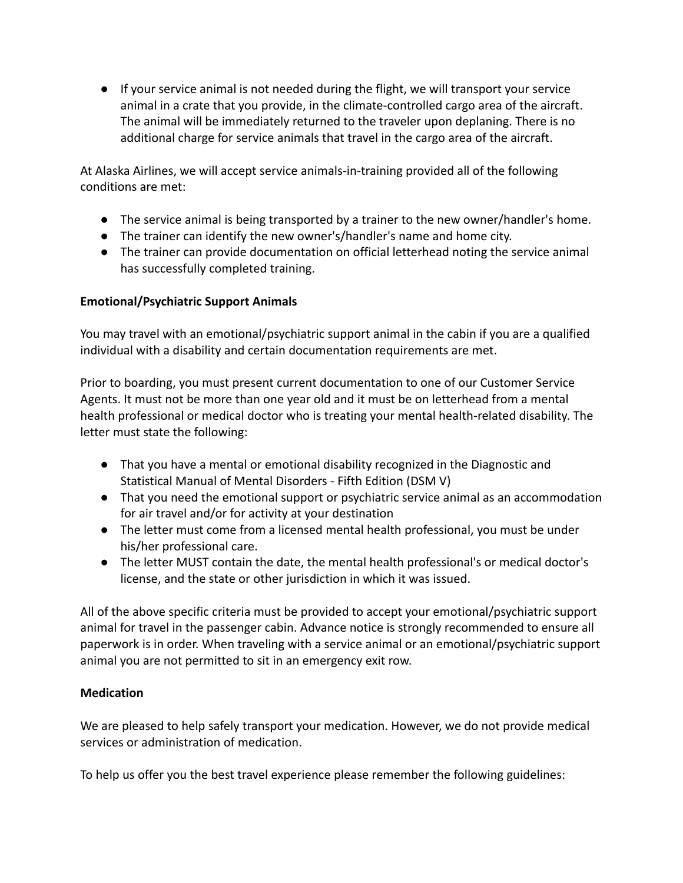● If your service animal is not needed during the flight, we will transport your service animal in a crate that you provide, in the climate-controlled cargo area of the aircraft. The animal will be immediately returned to the traveler upon deplaning. There is no additional charge for service animals that travel in the cargo area of the aircraft.

At Alaska Airlines, we will accept service animals-in-training provided all of the following conditions are met:

- The service animal is being transported by a trainer to the new owner/handler's home.
- The trainer can identify the new owner's/handler's name and home city.
- The trainer can provide documentation on official letterhead noting the service animal has successfully completed training.

# **Emotional/Psychiatric Support Animals**

You may travel with an emotional/psychiatric support animal in the cabin if you are a qualified individual with a disability and certain documentation requirements are met.

Prior to boarding, you must present current documentation to one of our Customer Service Agents. It must not be more than one year old and it must be on letterhead from a mental health professional or medical doctor who is treating your mental health-related disability. The letter must state the following:

- That you have a mental or emotional disability recognized in the Diagnostic and Statistical Manual of Mental Disorders - Fifth Edition (DSM V)
- That you need the emotional support or psychiatric service animal as an accommodation for air travel and/or for activity at your destination
- The letter must come from a licensed mental health professional, you must be under his/her professional care.
- The letter MUST contain the date, the mental health professional's or medical doctor's license, and the state or other jurisdiction in which it was issued.

All of the above specific criteria must be provided to accept your emotional/psychiatric support animal for travel in the passenger cabin. Advance notice is strongly recommended to ensure all paperwork is in order. When traveling with a service animal or an emotional/psychiatric support animal you are not permitted to sit in an emergency exit row.

# **Medication**

We are pleased to help safely transport your medication. However, we do not provide medical services or administration of medication.

To help us offer you the best travel experience please remember the following guidelines: